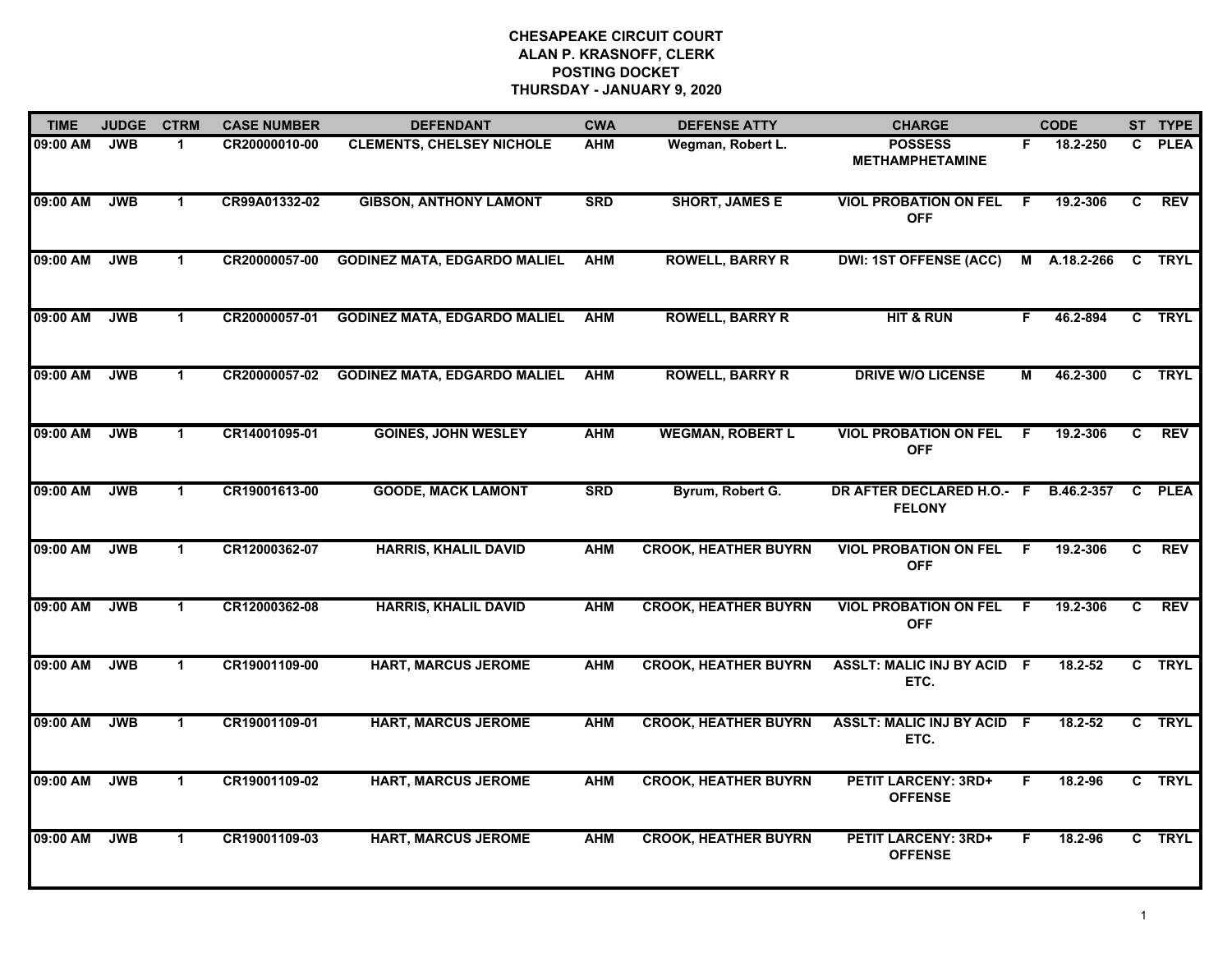| <b>TIME</b> | <b>JUDGE</b> | <b>CTRM</b>          | <b>CASE NUMBER</b> | <b>DEFENDANT</b>                    | <b>CWA</b> | <b>DEFENSE ATTY</b>         | <b>CHARGE</b>                                         |    | <b>CODE</b>  |    | ST TYPE     |
|-------------|--------------|----------------------|--------------------|-------------------------------------|------------|-----------------------------|-------------------------------------------------------|----|--------------|----|-------------|
| 09:00 AM    | <b>JWB</b>   | 1                    | CR20000010-00      | <b>CLEMENTS, CHELSEY NICHOLE</b>    | <b>AHM</b> | Wegman, Robert L.           | <b>POSSESS</b><br><b>METHAMPHETAMINE</b>              | F. | 18.2-250     | C. | <b>PLEA</b> |
| 09:00 AM    | <b>JWB</b>   | $\blacktriangleleft$ | CR99A01332-02      | <b>GIBSON, ANTHONY LAMONT</b>       | <b>SRD</b> | <b>SHORT, JAMES E</b>       | <b>VIOL PROBATION ON FEL</b><br><b>OFF</b>            | F. | 19.2-306     | C  | <b>REV</b>  |
| 09:00 AM    | <b>JWB</b>   | $\mathbf 1$          | CR20000057-00      | <b>GODINEZ MATA, EDGARDO MALIEL</b> | <b>AHM</b> | <b>ROWELL, BARRY R</b>      | <b>DWI: 1ST OFFENSE (ACC)</b>                         |    | M A.18.2-266 |    | C TRYL      |
| 09:00 AM    | <b>JWB</b>   | $\blacktriangleleft$ | CR20000057-01      | <b>GODINEZ MATA, EDGARDO MALIEL</b> | <b>AHM</b> | <b>ROWELL, BARRY R</b>      | <b>HIT &amp; RUN</b>                                  | F. | 46.2-894     |    | C TRYL      |
| 09:00 AM    | <b>JWB</b>   | $\blacktriangleleft$ | CR20000057-02      | <b>GODINEZ MATA, EDGARDO MALIEL</b> | <b>AHM</b> | <b>ROWELL, BARRY R</b>      | <b>DRIVE W/O LICENSE</b>                              | М  | 46.2-300     |    | C TRYL      |
| 09:00 AM    | <b>JWB</b>   | $\mathbf 1$          | CR14001095-01      | <b>GOINES, JOHN WESLEY</b>          | <b>AHM</b> | <b>WEGMAN, ROBERT L</b>     | <b>VIOL PROBATION ON FEL</b><br><b>OFF</b>            | -F | 19.2-306     | C  | <b>REV</b>  |
| 09:00 AM    | <b>JWB</b>   | $\mathbf 1$          | CR19001613-00      | <b>GOODE, MACK LAMONT</b>           | <b>SRD</b> | Byrum, Robert G.            | DR AFTER DECLARED H.O.- F B.46.2-357<br><b>FELONY</b> |    |              | C. | <b>PLEA</b> |
| 09:00 AM    | <b>JWB</b>   | $\blacktriangleleft$ | CR12000362-07      | <b>HARRIS, KHALIL DAVID</b>         | <b>AHM</b> | <b>CROOK, HEATHER BUYRN</b> | <b>VIOL PROBATION ON FEL</b><br><b>OFF</b>            | -F | 19.2-306     | C  | <b>REV</b>  |
| 09:00 AM    | <b>JWB</b>   | $\mathbf{1}$         | CR12000362-08      | <b>HARRIS, KHALIL DAVID</b>         | <b>AHM</b> | <b>CROOK, HEATHER BUYRN</b> | <b>VIOL PROBATION ON FEL</b><br><b>OFF</b>            | -F | 19.2-306     | C. | <b>REV</b>  |
| 09:00 AM    | <b>JWB</b>   | $\blacktriangleleft$ | CR19001109-00      | <b>HART, MARCUS JEROME</b>          | <b>AHM</b> | <b>CROOK, HEATHER BUYRN</b> | <b>ASSLT: MALIC INJ BY ACID F</b><br>ETC.             |    | $18.2 - 52$  |    | C TRYL      |
| 09:00 AM    | <b>JWB</b>   | $\blacktriangleleft$ | CR19001109-01      | <b>HART, MARCUS JEROME</b>          | <b>AHM</b> | <b>CROOK, HEATHER BUYRN</b> | <b>ASSLT: MALIC INJ BY ACID F</b><br>ETC.             |    | 18.2-52      |    | C TRYL      |
| 09:00 AM    | <b>JWB</b>   | $\blacktriangleleft$ | CR19001109-02      | <b>HART, MARCUS JEROME</b>          | <b>AHM</b> | <b>CROOK, HEATHER BUYRN</b> | <b>PETIT LARCENY: 3RD+</b><br><b>OFFENSE</b>          | F  | 18.2-96      |    | C TRYL      |
| 09:00 AM    | <b>JWB</b>   | $\blacktriangleleft$ | CR19001109-03      | <b>HART, MARCUS JEROME</b>          | <b>AHM</b> | <b>CROOK, HEATHER BUYRN</b> | <b>PETIT LARCENY: 3RD+</b><br><b>OFFENSE</b>          | F. | 18.2-96      |    | C TRYL      |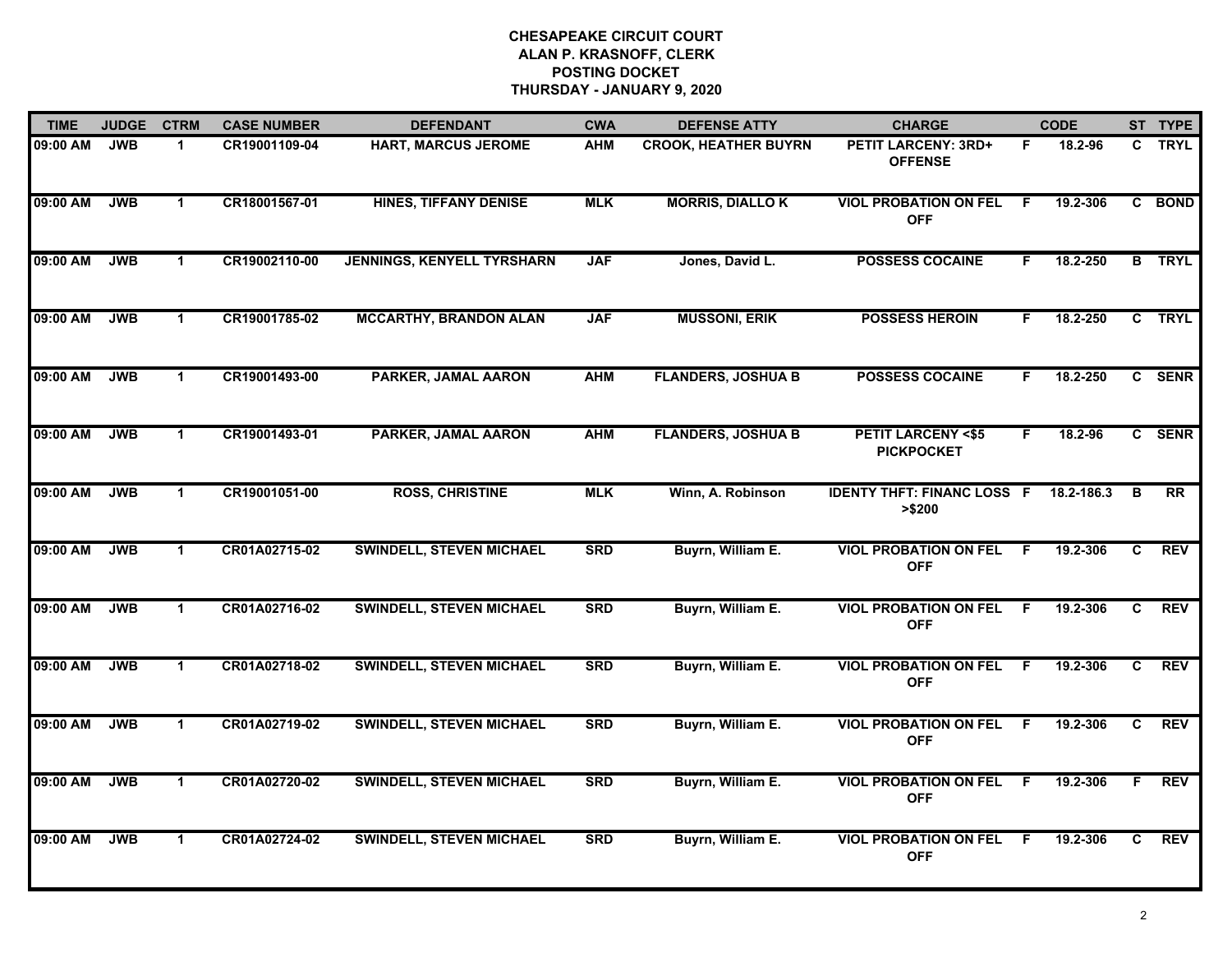| <b>TIME</b> | <b>JUDGE</b> | <b>CTRM</b>          | <b>CASE NUMBER</b> | <b>DEFENDANT</b>                  | <b>CWA</b> | <b>DEFENSE ATTY</b>         | <b>CHARGE</b>                                     |    | <b>CODE</b> |              | ST TYPE         |
|-------------|--------------|----------------------|--------------------|-----------------------------------|------------|-----------------------------|---------------------------------------------------|----|-------------|--------------|-----------------|
| 09:00 AM    | <b>JWB</b>   | $\blacktriangleleft$ | CR19001109-04      | <b>HART, MARCUS JEROME</b>        | <b>AHM</b> | <b>CROOK, HEATHER BUYRN</b> | <b>PETIT LARCENY: 3RD+</b><br><b>OFFENSE</b>      | F. | 18.2-96     | $\mathbf{c}$ | <b>TRYL</b>     |
| 09:00 AM    | <b>JWB</b>   | $\mathbf 1$          | CR18001567-01      | <b>HINES, TIFFANY DENISE</b>      | <b>MLK</b> | <b>MORRIS, DIALLO K</b>     | <b>VIOL PROBATION ON FEL</b><br><b>OFF</b>        | F. | 19.2-306    |              | C BOND          |
| 09:00 AM    | <b>JWB</b>   | $\mathbf 1$          | CR19002110-00      | <b>JENNINGS, KENYELL TYRSHARN</b> | <b>JAF</b> | Jones, David L.             | <b>POSSESS COCAINE</b>                            | F. | 18.2-250    |              | <b>B</b> TRYL   |
| 09:00 AM    | <b>JWB</b>   | $\mathbf 1$          | CR19001785-02      | <b>MCCARTHY, BRANDON ALAN</b>     | <b>JAF</b> | <b>MUSSONI, ERIK</b>        | <b>POSSESS HEROIN</b>                             | F. | 18.2-250    |              | C TRYL          |
| 09:00 AM    | <b>JWB</b>   | $\mathbf 1$          | CR19001493-00      | PARKER, JAMAL AARON               | <b>AHM</b> | <b>FLANDERS, JOSHUA B</b>   | <b>POSSESS COCAINE</b>                            | F. | 18.2-250    |              | C SENR          |
| 09:00 AM    | <b>JWB</b>   | $\blacktriangleleft$ | CR19001493-01      | PARKER, JAMAL AARON               | <b>AHM</b> | <b>FLANDERS, JOSHUA B</b>   | <b>PETIT LARCENY &lt;\$5</b><br><b>PICKPOCKET</b> | F. | 18.2-96     |              | C SENR          |
| 09:00 AM    | <b>JWB</b>   | $\mathbf{1}$         | CR19001051-00      | <b>ROSS, CHRISTINE</b>            | <b>MLK</b> | Winn, A. Robinson           | <b>IDENTY THFT: FINANC LOSS F</b><br>> \$200      |    | 18.2-186.3  | B            | $\overline{RR}$ |
| 09:00 AM    | <b>JWB</b>   | $\mathbf 1$          | CR01A02715-02      | <b>SWINDELL, STEVEN MICHAEL</b>   | <b>SRD</b> | Buyrn, William E.           | <b>VIOL PROBATION ON FEL</b><br><b>OFF</b>        | F  | 19.2-306    | C            | <b>REV</b>      |
| 09:00 AM    | <b>JWB</b>   | $\blacktriangleleft$ | CR01A02716-02      | <b>SWINDELL, STEVEN MICHAEL</b>   | <b>SRD</b> | Buyrn, William E.           | <b>VIOL PROBATION ON FEL</b><br><b>OFF</b>        | F  | 19.2-306    | C            | <b>REV</b>      |
| 09:00 AM    | <b>JWB</b>   | $\blacktriangleleft$ | CR01A02718-02      | <b>SWINDELL, STEVEN MICHAEL</b>   | <b>SRD</b> | Buyrn, William E.           | <b>VIOL PROBATION ON FEL</b><br><b>OFF</b>        | E  | 19.2-306    | C            | <b>REV</b>      |
| 09:00 AM    | <b>JWB</b>   | $\blacktriangleleft$ | CR01A02719-02      | <b>SWINDELL, STEVEN MICHAEL</b>   | <b>SRD</b> | Buyrn, William E.           | <b>VIOL PROBATION ON FEL</b><br><b>OFF</b>        | -F | 19.2-306    | C.           | <b>REV</b>      |
| 09:00 AM    | <b>JWB</b>   | $\mathbf 1$          | CR01A02720-02      | <b>SWINDELL, STEVEN MICHAEL</b>   | <b>SRD</b> | Buyrn, William E.           | <b>VIOL PROBATION ON FEL</b><br><b>OFF</b>        | F. | 19.2-306    | F.           | <b>REV</b>      |
| 09:00 AM    | <b>JWB</b>   | $\mathbf 1$          | CR01A02724-02      | <b>SWINDELL, STEVEN MICHAEL</b>   | <b>SRD</b> | Buyrn, William E.           | <b>VIOL PROBATION ON FEL</b><br><b>OFF</b>        | F. | 19.2-306    | C.           | <b>REV</b>      |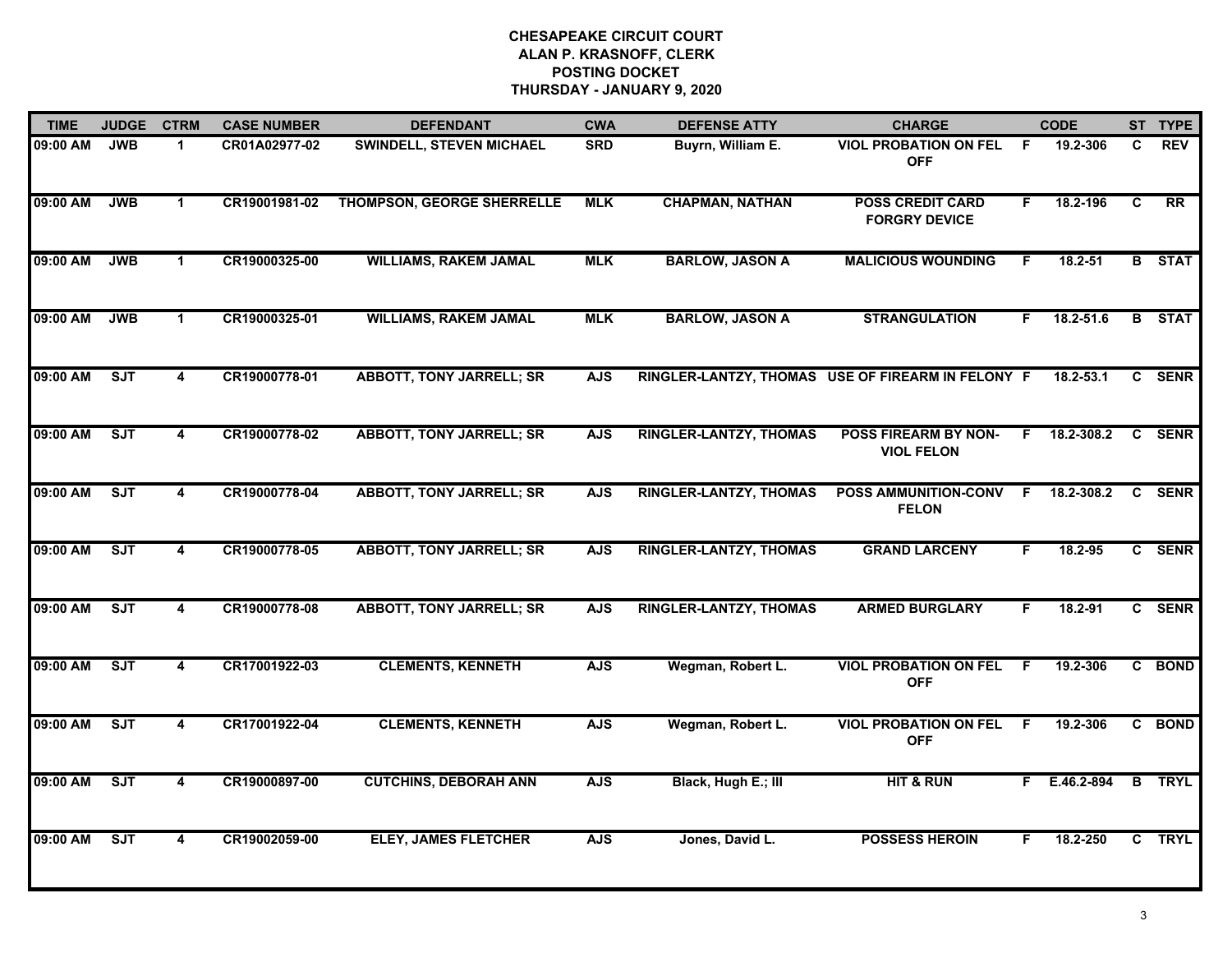| <b>TIME</b> | <b>JUDGE</b> | <b>CTRM</b>             | <b>CASE NUMBER</b> | <b>DEFENDANT</b>                  | <b>CWA</b> | <b>DEFENSE ATTY</b>           | <b>CHARGE</b>                                     |    | <b>CODE</b>  |    | ST TYPE       |
|-------------|--------------|-------------------------|--------------------|-----------------------------------|------------|-------------------------------|---------------------------------------------------|----|--------------|----|---------------|
| 09:00 AM    | <b>JWB</b>   | $\mathbf 1$             | CR01A02977-02      | <b>SWINDELL, STEVEN MICHAEL</b>   | <b>SRD</b> | Buyrn, William E.             | <b>VIOL PROBATION ON FEL</b><br><b>OFF</b>        | -F | 19.2-306     | C. | <b>REV</b>    |
| 09:00 AM    | <b>JWB</b>   | $\blacktriangleleft$    | CR19001981-02      | <b>THOMPSON, GEORGE SHERRELLE</b> | <b>MLK</b> | <b>CHAPMAN, NATHAN</b>        | <b>POSS CREDIT CARD</b><br><b>FORGRY DEVICE</b>   | F. | 18.2-196     | C  | RR            |
| 09:00 AM    | <b>JWB</b>   | $\blacktriangleleft$    | CR19000325-00      | <b>WILLIAMS, RAKEM JAMAL</b>      | <b>MLK</b> | <b>BARLOW, JASON A</b>        | <b>MALICIOUS WOUNDING</b>                         | F  | 18.2-51      |    | <b>B</b> STAT |
| 09:00 AM    | <b>JWB</b>   | $\mathbf 1$             | CR19000325-01      | <b>WILLIAMS, RAKEM JAMAL</b>      | <b>MLK</b> | <b>BARLOW, JASON A</b>        | <b>STRANGULATION</b>                              | F. | 18.2-51.6    |    | <b>B</b> STAT |
| 09:00 AM    | <b>SJT</b>   | 4                       | CR19000778-01      | <b>ABBOTT, TONY JARRELL; SR</b>   | <b>AJS</b> |                               | RINGLER-LANTZY, THOMAS USE OF FIREARM IN FELONY F |    | 18.2-53.1    |    | C SENR        |
| 09:00 AM    | ST           | 4                       | CR19000778-02      | <b>ABBOTT, TONY JARRELL; SR</b>   | <b>AJS</b> | <b>RINGLER-LANTZY, THOMAS</b> | <b>POSS FIREARM BY NON-</b><br><b>VIOL FELON</b>  | F. | 18.2-308.2   |    | C SENR        |
| 09:00 AM    | SJT          | $\overline{4}$          | CR19000778-04      | <b>ABBOTT, TONY JARRELL; SR</b>   | <b>AJS</b> | <b>RINGLER-LANTZY, THOMAS</b> | POSS AMMUNITION-CONV<br><b>FELON</b>              | -F | 18.2-308.2   | C  | <b>SENR</b>   |
| 09:00 AM    | ST           | $\overline{\mathbf{4}}$ | CR19000778-05      | <b>ABBOTT, TONY JARRELL; SR</b>   | <b>AJS</b> | <b>RINGLER-LANTZY, THOMAS</b> | <b>GRAND LARCENY</b>                              | F. | 18.2-95      |    | C SENR        |
| 09:00 AM    | SJT          | 4                       | CR19000778-08      | <b>ABBOTT, TONY JARRELL; SR</b>   | <b>AJS</b> | RINGLER-LANTZY, THOMAS        | <b>ARMED BURGLARY</b>                             | F  | 18.2-91      |    | C SENR        |
| 09:00 AM    | <b>SJT</b>   | 4                       | CR17001922-03      | <b>CLEMENTS, KENNETH</b>          | <b>AJS</b> | Wegman, Robert L.             | <b>VIOL PROBATION ON FEL</b><br><b>OFF</b>        | F  | 19.2-306     |    | C BOND        |
| 09:00 AM    | ST           | 4                       | CR17001922-04      | <b>CLEMENTS, KENNETH</b>          | <b>AJS</b> | Wegman, Robert L.             | <b>VIOL PROBATION ON FEL</b><br><b>OFF</b>        | -F | 19.2-306     |    | C BOND        |
| 09:00 AM    | ST           | $\overline{\mathbf{4}}$ | CR19000897-00      | <b>CUTCHINS, DEBORAH ANN</b>      | <b>AJS</b> | Black, Hugh E.; III           | <b>HIT &amp; RUN</b>                              |    | F E.46.2-894 | B  | <b>TRYL</b>   |
| 09:00 AM    | ST           | $\overline{\mathbf{4}}$ | CR19002059-00      | <b>ELEY, JAMES FLETCHER</b>       | <b>AJS</b> | Jones, David L.               | <b>POSSESS HEROIN</b>                             | F. | 18.2-250     |    | C TRYL        |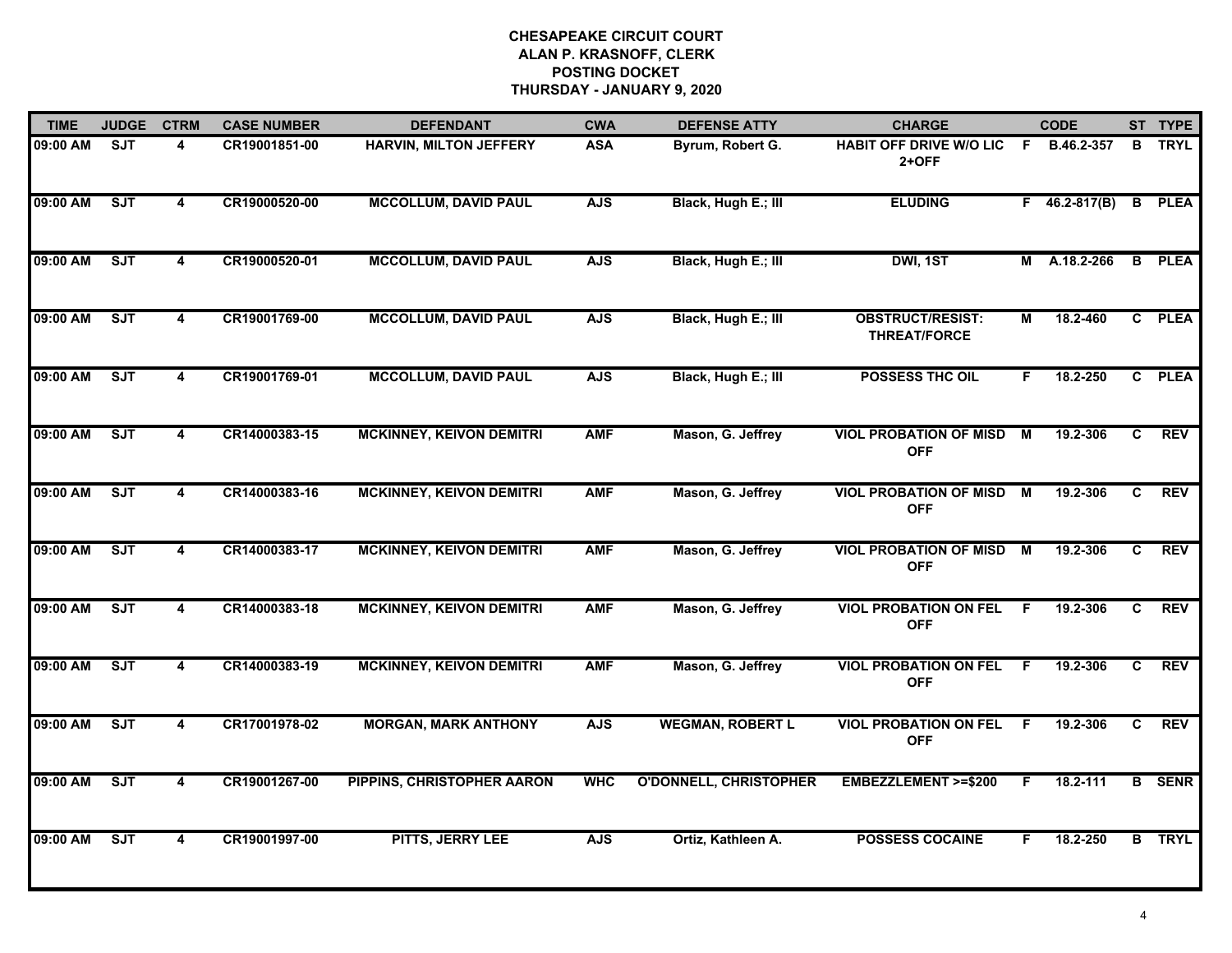| <b>TIME</b> | <b>JUDGE</b> | <b>CTRM</b>             | <b>CASE NUMBER</b> | <b>DEFENDANT</b>                | <b>CWA</b> | <b>DEFENSE ATTY</b>           | <b>CHARGE</b>                                  |    | <b>CODE</b>         |                | ST TYPE       |
|-------------|--------------|-------------------------|--------------------|---------------------------------|------------|-------------------------------|------------------------------------------------|----|---------------------|----------------|---------------|
| 09:00 AM    | ST           | 4                       | CR19001851-00      | HARVIN, MILTON JEFFERY          | <b>ASA</b> | Byrum, Robert G.              | <b>HABIT OFF DRIVE W/O LIC</b><br>2+OFF        | F. | B.46.2-357          | B              | <b>TRYL</b>   |
| 09:00 AM    | ST           | $\overline{4}$          | CR19000520-00      | <b>MCCOLLUM, DAVID PAUL</b>     | <b>AJS</b> | Black, Hugh E.; III           | <b>ELUDING</b>                                 |    | $F = 46.2 - 817(B)$ | B              | <b>PLEA</b>   |
| 09:00 AM    | SJT          | 4                       | CR19000520-01      | <b>MCCOLLUM, DAVID PAUL</b>     | <b>AJS</b> | Black, Hugh E.; III           | <b>DWI, 1ST</b>                                | м  | A.18.2-266          |                | <b>B</b> PLEA |
| 09:00 AM    | SJT          | 4                       | CR19001769-00      | <b>MCCOLLUM, DAVID PAUL</b>     | <b>AJS</b> | Black, Hugh E.; III           | <b>OBSTRUCT/RESIST:</b><br><b>THREAT/FORCE</b> | М  | 18.2-460            |                | C PLEA        |
| 09:00 AM    | SJT          | 4                       | CR19001769-01      | <b>MCCOLLUM, DAVID PAUL</b>     | <b>AJS</b> | Black, Hugh E.; III           | POSSESS THC OIL                                | F. | 18.2-250            |                | C PLEA        |
| 09:00 AM    | ST           | 4                       | CR14000383-15      | <b>MCKINNEY, KEIVON DEMITRI</b> | <b>AMF</b> | Mason, G. Jeffrey             | <b>VIOL PROBATION OF MISD M</b><br><b>OFF</b>  |    | 19.2-306            | C.             | <b>REV</b>    |
| 09:00 AM    | ST           | $\overline{\mathbf{4}}$ | CR14000383-16      | <b>MCKINNEY, KEIVON DEMITRI</b> | <b>AMF</b> | Mason, G. Jeffrey             | <b>VIOL PROBATION OF MISD</b><br><b>OFF</b>    | M  | 19.2-306            | C.             | <b>REV</b>    |
| 09:00 AM    | ST           | 4                       | CR14000383-17      | <b>MCKINNEY, KEIVON DEMITRI</b> | <b>AMF</b> | Mason, G. Jeffrey             | <b>VIOL PROBATION OF MISD</b><br><b>OFF</b>    | M  | 19.2-306            | C              | <b>REV</b>    |
| 09:00 AM    | SJT          | 4                       | CR14000383-18      | <b>MCKINNEY, KEIVON DEMITRI</b> | <b>AMF</b> | Mason, G. Jeffrey             | <b>VIOL PROBATION ON FEL</b><br><b>OFF</b>     | F. | 19.2-306            | C.             | <b>REV</b>    |
| 09:00 AM    | SJT          | 4                       | CR14000383-19      | <b>MCKINNEY, KEIVON DEMITRI</b> | <b>AMF</b> | Mason, G. Jeffrey             | <b>VIOL PROBATION ON FEL</b><br><b>OFF</b>     | F. | 19.2-306            | C.             | <b>REV</b>    |
| 09:00 AM    | ST           | 4                       | CR17001978-02      | <b>MORGAN, MARK ANTHONY</b>     | <b>AJS</b> | <b>WEGMAN, ROBERT L</b>       | <b>VIOL PROBATION ON FEL</b><br><b>OFF</b>     | -F | 19.2-306            | C.             | REV           |
| 09:00 AM    | ST           | $\overline{\mathbf{4}}$ | CR19001267-00      | PIPPINS, CHRISTOPHER AARON      | <b>WHC</b> | <b>O'DONNELL, CHRISTOPHER</b> | <b>EMBEZZLEMENT &gt;=\$200</b>                 | F  | $18.2 - 111$        | $\overline{B}$ | <b>SENR</b>   |
| 09:00 AM    | ST           | 4                       | CR19001997-00      | PITTS, JERRY LEE                | <b>AJS</b> | Ortiz, Kathleen A.            | <b>POSSESS COCAINE</b>                         | F  | 18.2-250            |                | <b>B</b> TRYL |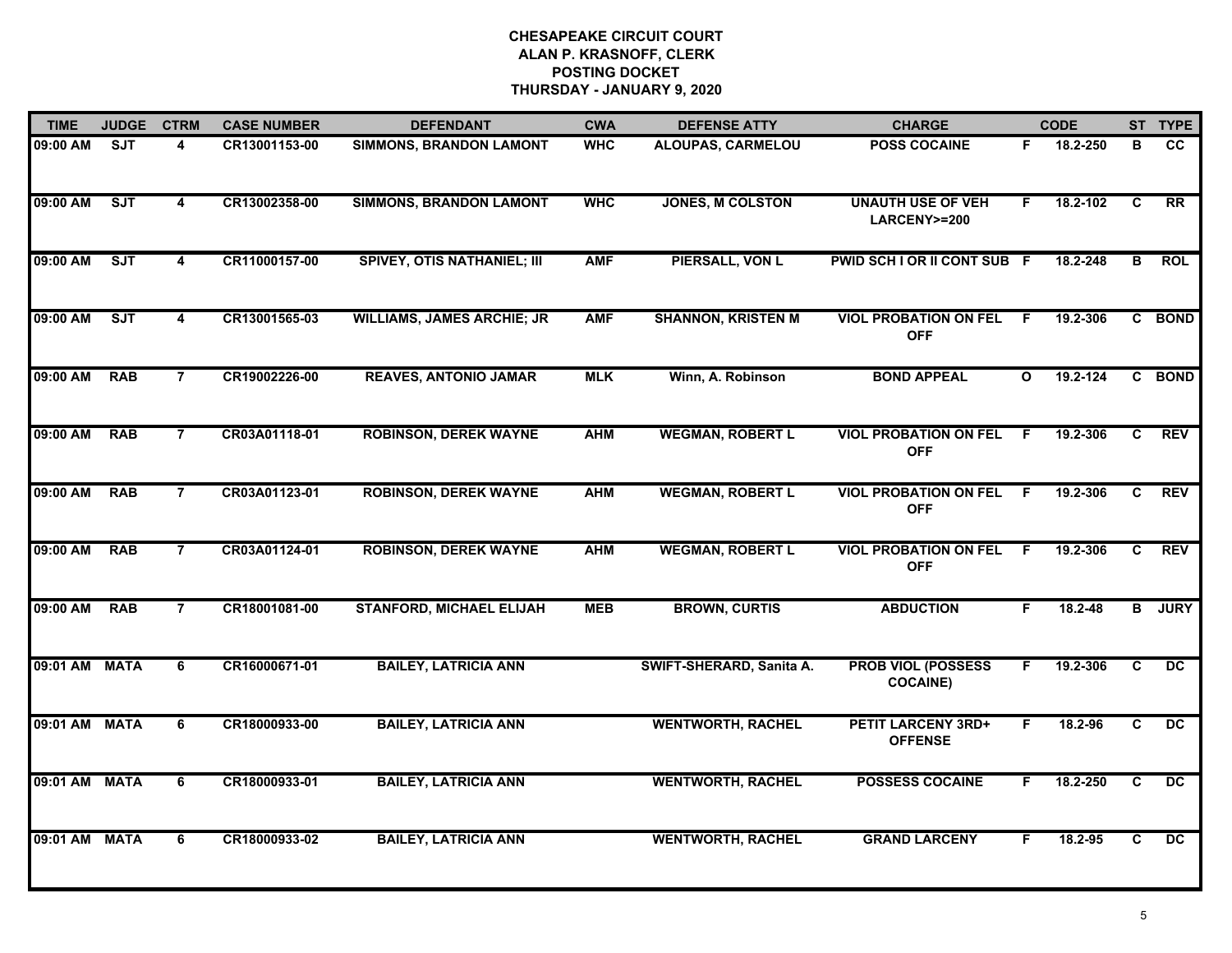| <b>TIME</b>   | <b>JUDGE</b> | <b>CTRM</b>             | <b>CASE NUMBER</b> | <b>DEFENDANT</b>                   | <b>CWA</b> | <b>DEFENSE ATTY</b>       | <b>CHARGE</b>                                |              | <b>CODE</b> |                | ST TYPE       |
|---------------|--------------|-------------------------|--------------------|------------------------------------|------------|---------------------------|----------------------------------------------|--------------|-------------|----------------|---------------|
| 09:00 AM      | SJT          | 4                       | CR13001153-00      | <b>SIMMONS, BRANDON LAMONT</b>     | <b>WHC</b> | ALOUPAS, CARMELOU         | <b>POSS COCAINE</b>                          | F.           | 18.2-250    | в              | <b>CC</b>     |
| 09:00 AM      | ST           | 4                       | CR13002358-00      | <b>SIMMONS, BRANDON LAMONT</b>     | <b>WHC</b> | <b>JONES, M COLSTON</b>   | <b>UNAUTH USE OF VEH</b><br>LARCENY>=200     | F.           | 18.2-102    | C              | RR            |
| 09:00 AM      | SJT          | $\overline{\mathbf{4}}$ | CR11000157-00      | <b>SPIVEY, OTIS NATHANIEL; III</b> | <b>AMF</b> | PIERSALL, VON L           | PWID SCH I OR II CONT SUB F                  |              | 18.2-248    | B              | <b>ROL</b>    |
| 09:00 AM      | SJT          | 4                       | CR13001565-03      | <b>WILLIAMS, JAMES ARCHIE; JR</b>  | <b>AMF</b> | <b>SHANNON, KRISTEN M</b> | <b>VIOL PROBATION ON FEL</b><br><b>OFF</b>   | E            | 19.2-306    |                | C BOND        |
| 09:00 AM      | <b>RAB</b>   | $\overline{7}$          | CR19002226-00      | <b>REAVES, ANTONIO JAMAR</b>       | <b>MLK</b> | Winn, A. Robinson         | <b>BOND APPEAL</b>                           | $\mathbf{o}$ | 19.2-124    |                | C BOND        |
| 09:00 AM      | <b>RAB</b>   | $\overline{7}$          | CR03A01118-01      | <b>ROBINSON, DEREK WAYNE</b>       | <b>AHM</b> | <b>WEGMAN, ROBERT L</b>   | <b>VIOL PROBATION ON FEL</b><br><b>OFF</b>   | -F           | 19.2-306    | $\overline{c}$ | <b>REV</b>    |
| 09:00 AM      | <b>RAB</b>   | $\overline{7}$          | CR03A01123-01      | <b>ROBINSON, DEREK WAYNE</b>       | <b>AHM</b> | <b>WEGMAN, ROBERT L</b>   | <b>VIOL PROBATION ON FEL</b><br><b>OFF</b>   | F.           | 19.2-306    | C              | <b>REV</b>    |
| 09:00 AM      | <b>RAB</b>   | $\overline{7}$          | CR03A01124-01      | <b>ROBINSON, DEREK WAYNE</b>       | <b>AHM</b> | <b>WEGMAN, ROBERT L</b>   | <b>VIOL PROBATION ON FEL</b><br><b>OFF</b>   | F.           | 19.2-306    | C.             | <b>REV</b>    |
| 09:00 AM      | <b>RAB</b>   | $\overline{7}$          | CR18001081-00      | <b>STANFORD, MICHAEL ELIJAH</b>    | <b>MEB</b> | <b>BROWN, CURTIS</b>      | <b>ABDUCTION</b>                             | F.           | $18.2 - 48$ |                | <b>B</b> JURY |
| 09:01 AM      | <b>MATA</b>  | 6                       | CR16000671-01      | <b>BAILEY, LATRICIA ANN</b>        |            | SWIFT-SHERARD, Sanita A.  | <b>PROB VIOL (POSSESS</b><br><b>COCAINE)</b> | F            | 19.2-306    | C              | DC            |
| 09:01 AM      | <b>MATA</b>  | 6                       | CR18000933-00      | <b>BAILEY, LATRICIA ANN</b>        |            | <b>WENTWORTH, RACHEL</b>  | <b>PETIT LARCENY 3RD+</b><br><b>OFFENSE</b>  | F            | 18.2-96     | $\overline{c}$ | DC            |
| 09:01 AM MATA |              | 6                       | CR18000933-01      | <b>BAILEY, LATRICIA ANN</b>        |            | <b>WENTWORTH, RACHEL</b>  | <b>POSSESS COCAINE</b>                       | F.           | 18.2-250    | C              | DC            |
| 09:01 AM MATA |              | $\overline{6}$          | CR18000933-02      | <b>BAILEY, LATRICIA ANN</b>        |            | <b>WENTWORTH, RACHEL</b>  | <b>GRAND LARCENY</b>                         | F.           | 18.2-95     | $\overline{c}$ | DC            |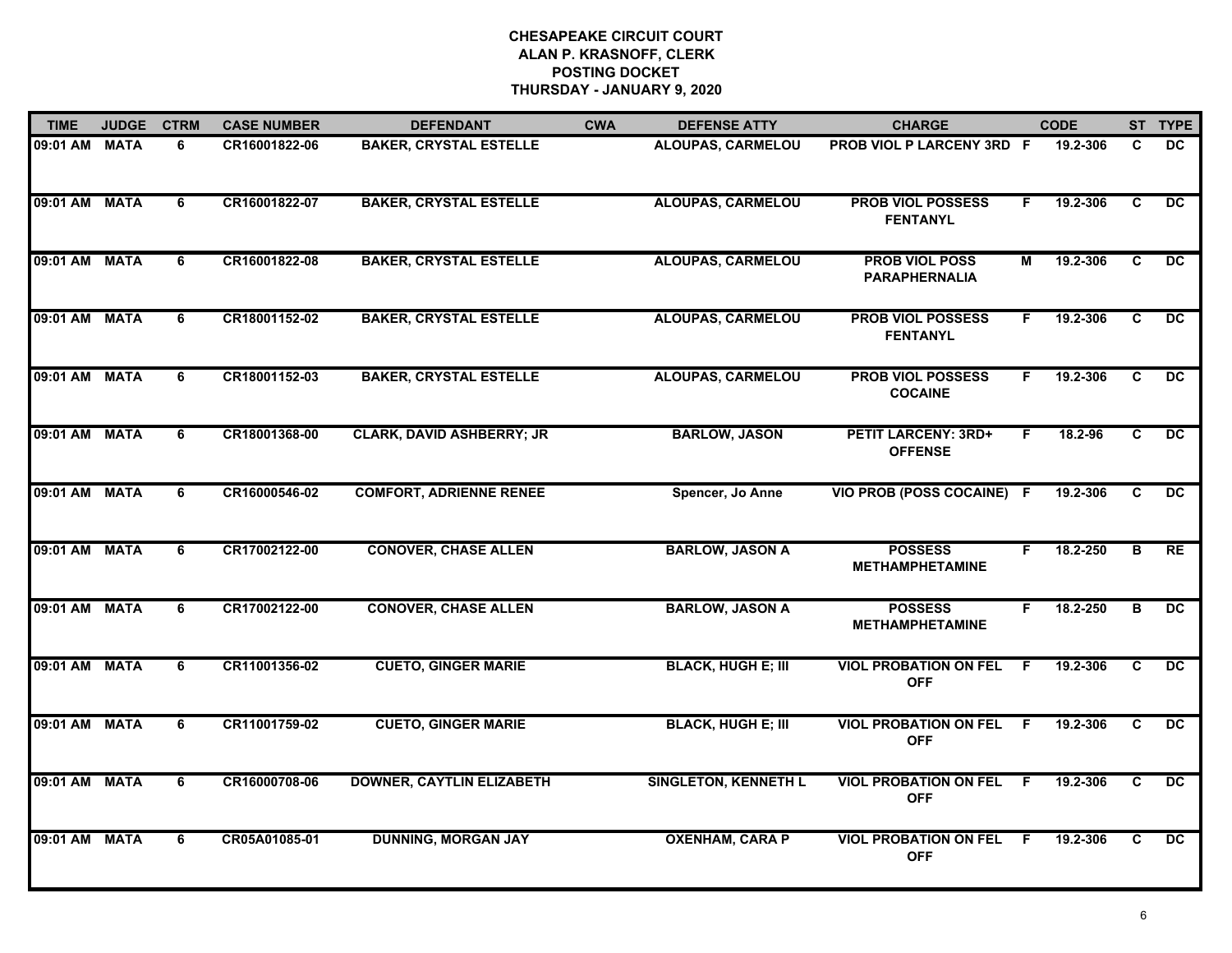| <b>TIME</b>   | <b>JUDGE</b> | <b>CTRM</b> | <b>CASE NUMBER</b> | <b>DEFENDANT</b>                 | <b>CWA</b> | <b>DEFENSE ATTY</b>         | <b>CHARGE</b>                                 |    | <b>CODE</b> |                | ST TYPE         |
|---------------|--------------|-------------|--------------------|----------------------------------|------------|-----------------------------|-----------------------------------------------|----|-------------|----------------|-----------------|
| 09:01 AM MATA |              | 6           | CR16001822-06      | <b>BAKER, CRYSTAL ESTELLE</b>    |            | ALOUPAS, CARMELOU           | <b>PROB VIOL P LARCENY 3RD F</b>              |    | 19.2-306    | C.             | <b>DC</b>       |
| 09:01 AM MATA |              | 6           | CR16001822-07      | <b>BAKER, CRYSTAL ESTELLE</b>    |            | <b>ALOUPAS, CARMELOU</b>    | <b>PROB VIOL POSSESS</b><br><b>FENTANYL</b>   | F  | 19.2-306    | C              | DC              |
| 09:01 AM MATA |              | 6           | CR16001822-08      | <b>BAKER, CRYSTAL ESTELLE</b>    |            | <b>ALOUPAS, CARMELOU</b>    | <b>PROB VIOL POSS</b><br><b>PARAPHERNALIA</b> | М  | 19.2-306    | $\overline{c}$ | $\overline{DC}$ |
| 09:01 AM MATA |              | 6           | CR18001152-02      | <b>BAKER, CRYSTAL ESTELLE</b>    |            | <b>ALOUPAS, CARMELOU</b>    | <b>PROB VIOL POSSESS</b><br><b>FENTANYL</b>   | F. | 19.2-306    | C              | <b>DC</b>       |
| 09:01 AM MATA |              | 6           | CR18001152-03      | <b>BAKER, CRYSTAL ESTELLE</b>    |            | <b>ALOUPAS, CARMELOU</b>    | <b>PROB VIOL POSSESS</b><br><b>COCAINE</b>    | F. | 19.2-306    | C              | <b>DC</b>       |
| 09:01 AM MATA |              | 6           | CR18001368-00      | <b>CLARK, DAVID ASHBERRY; JR</b> |            | <b>BARLOW, JASON</b>        | <b>PETIT LARCENY: 3RD+</b><br><b>OFFENSE</b>  | F. | 18.2-96     | C              | <b>DC</b>       |
| 09:01 AM MATA |              | 6           | CR16000546-02      | <b>COMFORT, ADRIENNE RENEE</b>   |            | Spencer, Jo Anne            | VIO PROB (POSS COCAINE) F                     |    | 19.2-306    | C              | $\overline{DC}$ |
| 09:01 AM MATA |              | 6           | CR17002122-00      | <b>CONOVER, CHASE ALLEN</b>      |            | <b>BARLOW, JASON A</b>      | <b>POSSESS</b><br><b>METHAMPHETAMINE</b>      | F  | 18.2-250    | B              | <b>RE</b>       |
| 09:01 AM MATA |              | 6           | CR17002122-00      | <b>CONOVER, CHASE ALLEN</b>      |            | <b>BARLOW, JASON A</b>      | <b>POSSESS</b><br><b>METHAMPHETAMINE</b>      | F  | 18.2-250    | в              | <b>DC</b>       |
| 09:01 AM MATA |              | 6           | CR11001356-02      | <b>CUETO, GINGER MARIE</b>       |            | <b>BLACK, HUGH E; III</b>   | <b>VIOL PROBATION ON FEL</b><br><b>OFF</b>    | E  | 19.2-306    | C              | <b>DC</b>       |
| 09:01 AM MATA |              | 6           | CR11001759-02      | <b>CUETO, GINGER MARIE</b>       |            | <b>BLACK, HUGH E; III</b>   | <b>VIOL PROBATION ON FEL</b><br><b>OFF</b>    | -F | 19.2-306    | C              | <b>DC</b>       |
| 09:01 AM MATA |              | 6           | CR16000708-06      | <b>DOWNER, CAYTLIN ELIZABETH</b> |            | <b>SINGLETON, KENNETH L</b> | <b>VIOL PROBATION ON FEL</b><br><b>OFF</b>    | -F | 19.2-306    | C              | $\overline{DC}$ |
| 09:01 AM MATA |              | 6           | CR05A01085-01      | <b>DUNNING, MORGAN JAY</b>       |            | <b>OXENHAM, CARA P</b>      | <b>VIOL PROBATION ON FEL</b><br><b>OFF</b>    | -F | 19.2-306    | C              | $\overline{DC}$ |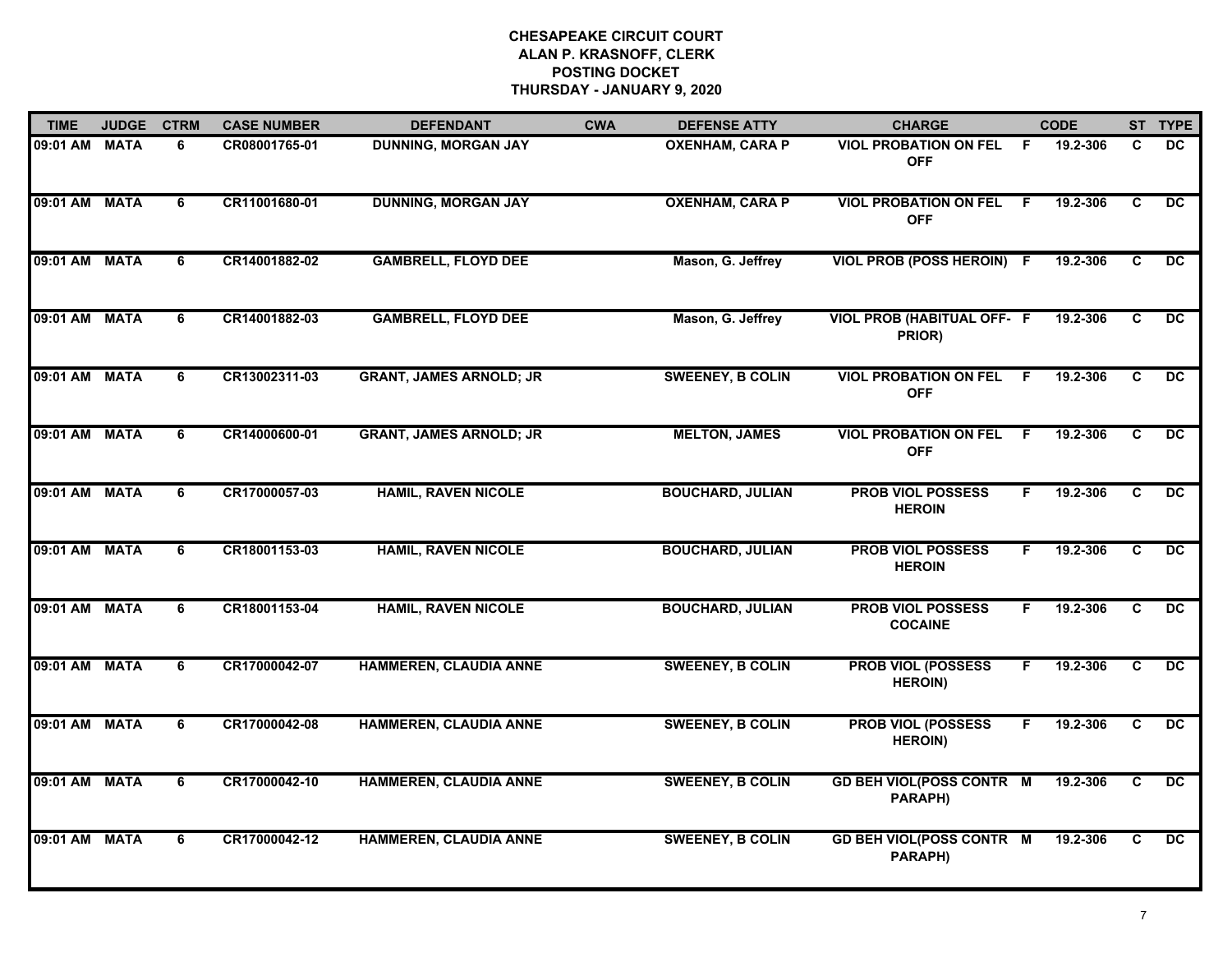| <b>TIME</b>   | <b>JUDGE</b> | <b>CTRM</b>    | <b>CASE NUMBER</b> | <b>DEFENDANT</b>               | <b>CWA</b> | <b>DEFENSE ATTY</b>     | <b>CHARGE</b>                                |    | <b>CODE</b> |                | ST TYPE         |
|---------------|--------------|----------------|--------------------|--------------------------------|------------|-------------------------|----------------------------------------------|----|-------------|----------------|-----------------|
| 09:01 AM      | <b>MATA</b>  | 6              | CR08001765-01      | <b>DUNNING, MORGAN JAY</b>     |            | <b>OXENHAM, CARA P</b>  | <b>VIOL PROBATION ON FEL</b><br><b>OFF</b>   | F. | 19.2-306    | C              | <b>DC</b>       |
| 09:01 AM MATA |              | 6              | CR11001680-01      | <b>DUNNING, MORGAN JAY</b>     |            | <b>OXENHAM, CARA P</b>  | <b>VIOL PROBATION ON FEL F</b><br><b>OFF</b> |    | 19.2-306    | C              | DC              |
| 09:01 AM      | <b>MATA</b>  | $\overline{6}$ | CR14001882-02      | <b>GAMBRELL, FLOYD DEE</b>     |            | Mason, G. Jeffrey       | VIOL PROB (POSS HEROIN) F                    |    | 19.2-306    | $\overline{c}$ | $\overline{DC}$ |
| 09:01 AM      | <b>MATA</b>  | 6              | CR14001882-03      | <b>GAMBRELL, FLOYD DEE</b>     |            | Mason, G. Jeffrey       | <b>VIOL PROB (HABITUAL OFF- F</b><br>PRIOR)  |    | 19.2-306    | C              | <b>DC</b>       |
| 09:01 AM      | <b>MATA</b>  | 6              | CR13002311-03      | <b>GRANT, JAMES ARNOLD; JR</b> |            | <b>SWEENEY, B COLIN</b> | <b>VIOL PROBATION ON FEL</b><br><b>OFF</b>   | F  | 19.2-306    | C              | DC              |
| 09:01 AM MATA |              | 6              | CR14000600-01      | <b>GRANT, JAMES ARNOLD; JR</b> |            | <b>MELTON, JAMES</b>    | <b>VIOL PROBATION ON FEL</b><br><b>OFF</b>   | -F | 19.2-306    | C.             | DC              |
| 09:01 AM      | <b>MATA</b>  | 6              | CR17000057-03      | <b>HAMIL, RAVEN NICOLE</b>     |            | <b>BOUCHARD, JULIAN</b> | <b>PROB VIOL POSSESS</b><br><b>HEROIN</b>    | F. | 19.2-306    | $\overline{c}$ | $\overline{DC}$ |
| 09:01 AM MATA |              | 6              | CR18001153-03      | <b>HAMIL, RAVEN NICOLE</b>     |            | <b>BOUCHARD, JULIAN</b> | <b>PROB VIOL POSSESS</b><br><b>HEROIN</b>    | F. | 19.2-306    | C.             | $\overline{DC}$ |
| 09:01 AM      | <b>MATA</b>  | 6              | CR18001153-04      | <b>HAMIL, RAVEN NICOLE</b>     |            | <b>BOUCHARD, JULIAN</b> | <b>PROB VIOL POSSESS</b><br><b>COCAINE</b>   | F. | 19.2-306    | C.             | DC              |
| 09:01 AM      | <b>MATA</b>  | 6              | CR17000042-07      | <b>HAMMEREN, CLAUDIA ANNE</b>  |            | <b>SWEENEY, B COLIN</b> | <b>PROB VIOL (POSSESS</b><br><b>HEROIN)</b>  | F  | 19.2-306    | C              | <b>DC</b>       |
| 09:01 AM      | <b>MATA</b>  | 6              | CR17000042-08      | <b>HAMMEREN, CLAUDIA ANNE</b>  |            | <b>SWEENEY, B COLIN</b> | <b>PROB VIOL (POSSESS</b><br><b>HEROIN)</b>  | F. | 19.2-306    | C              | DC              |
| 09:01 AM      | <b>MATA</b>  | 6              | CR17000042-10      | <b>HAMMEREN, CLAUDIA ANNE</b>  |            | <b>SWEENEY, B COLIN</b> | <b>GD BEH VIOL(POSS CONTR M</b><br>PARAPH)   |    | 19.2-306    | C              | $\overline{DC}$ |
| 09:01 AM MATA |              | 6              | CR17000042-12      | <b>HAMMEREN, CLAUDIA ANNE</b>  |            | <b>SWEENEY, B COLIN</b> | <b>GD BEH VIOL(POSS CONTR M</b><br>PARAPH)   |    | 19.2-306    | C.             | DC              |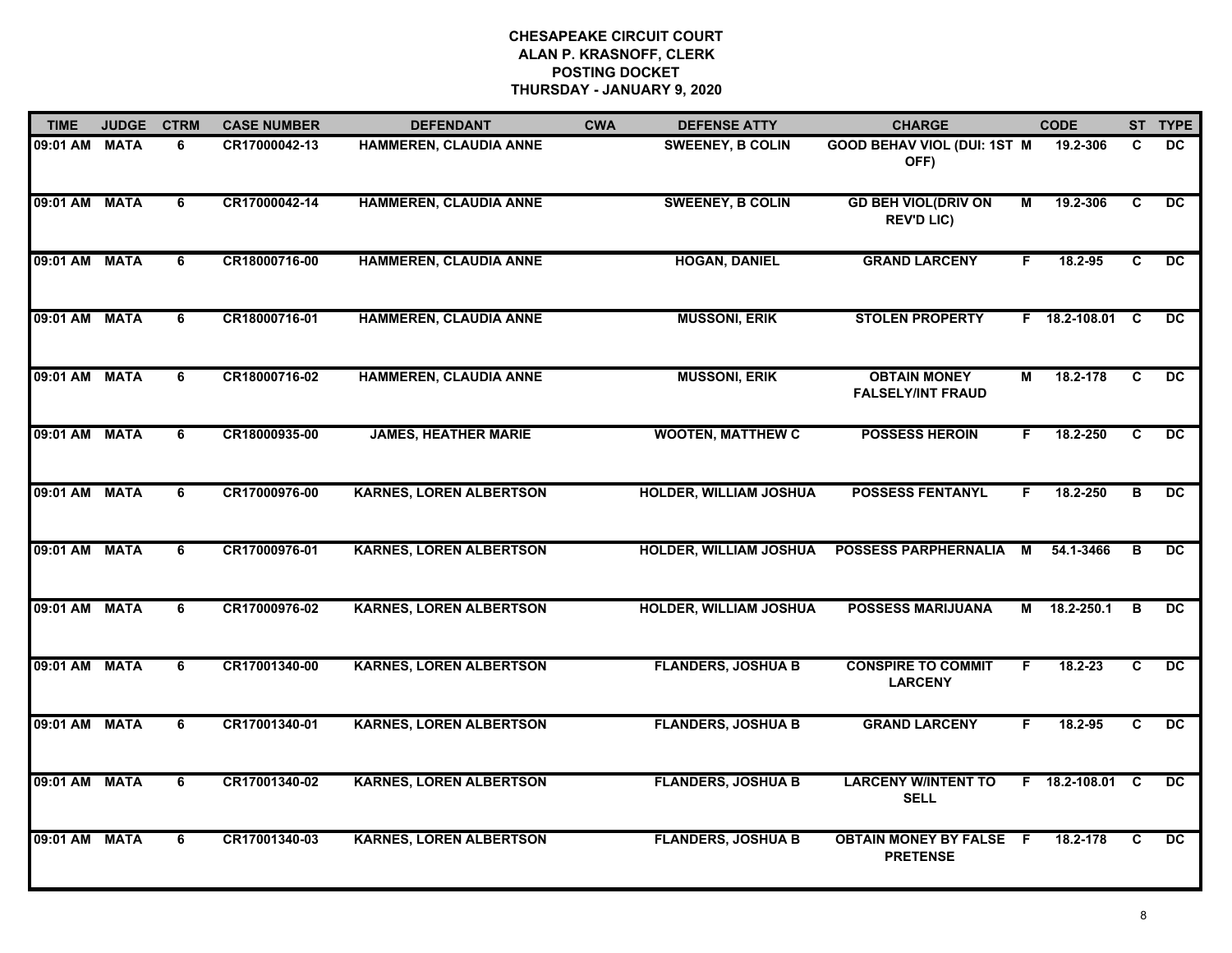| <b>TIME</b>   | <b>JUDGE</b> | <b>CTRM</b>    | <b>CASE NUMBER</b> | <b>DEFENDANT</b>               | <b>CWA</b> | <b>DEFENSE ATTY</b>           | <b>CHARGE</b>                                     |                | <b>CODE</b>     |                | ST TYPE         |
|---------------|--------------|----------------|--------------------|--------------------------------|------------|-------------------------------|---------------------------------------------------|----------------|-----------------|----------------|-----------------|
| 09:01 AM      | <b>MATA</b>  | 6              | CR17000042-13      | HAMMEREN, CLAUDIA ANNE         |            | <b>SWEENEY, B COLIN</b>       | <b>GOOD BEHAV VIOL (DUI: 1ST M</b><br>OFF)        |                | 19.2-306        | C              | DC.             |
| 09:01 AM MATA |              | 6              | CR17000042-14      | <b>HAMMEREN, CLAUDIA ANNE</b>  |            | <b>SWEENEY, B COLIN</b>       | <b>GD BEH VIOL(DRIV ON</b><br><b>REV'D LIC)</b>   | $\overline{M}$ | 19.2-306        | $\overline{c}$ | DC              |
| 09:01 AM MATA |              | 6              | CR18000716-00      | <b>HAMMEREN, CLAUDIA ANNE</b>  |            | <b>HOGAN, DANIEL</b>          | <b>GRAND LARCENY</b>                              | F.             | 18.2-95         | C              | DC              |
| 09:01 AM MATA |              | 6              | CR18000716-01      | HAMMEREN, CLAUDIA ANNE         |            | <b>MUSSONI, ERIK</b>          | <b>STOLEN PROPERTY</b>                            |                | F 18.2-108.01 C |                | DC.             |
| 09:01 AM      | <b>MATA</b>  | 6              | CR18000716-02      | <b>HAMMEREN, CLAUDIA ANNE</b>  |            | <b>MUSSONI, ERIK</b>          | <b>OBTAIN MONEY</b><br><b>FALSELY/INT FRAUD</b>   | М              | 18.2-178        | C              | DC              |
| 09:01 AM MATA |              | 6              | CR18000935-00      | <b>JAMES, HEATHER MARIE</b>    |            | <b>WOOTEN, MATTHEW C</b>      | <b>POSSESS HEROIN</b>                             | F.             | 18.2-250        | C              | DC              |
| 09:01 AM MATA |              | 6              | CR17000976-00      | <b>KARNES, LOREN ALBERTSON</b> |            | <b>HOLDER, WILLIAM JOSHUA</b> | <b>POSSESS FENTANYL</b>                           | F.             | 18.2-250        | в              | DC.             |
| 09:01 AM      | <b>MATA</b>  | $\overline{6}$ | CR17000976-01      | <b>KARNES, LOREN ALBERTSON</b> |            | <b>HOLDER, WILLIAM JOSHUA</b> | <b>POSSESS PARPHERNALIA</b>                       | $\overline{M}$ | 54.1-3466       | $\overline{B}$ | $\overline{DC}$ |
| 09:01 AM      | <b>MATA</b>  | 6              | CR17000976-02      | <b>KARNES, LOREN ALBERTSON</b> |            | <b>HOLDER, WILLIAM JOSHUA</b> | <b>POSSESS MARIJUANA</b>                          | М              | 18.2-250.1      | B              | <b>DC</b>       |
| 09:01 AM      | <b>MATA</b>  | 6              | CR17001340-00      | <b>KARNES, LOREN ALBERTSON</b> |            | <b>FLANDERS, JOSHUA B</b>     | <b>CONSPIRE TO COMMIT</b><br><b>LARCENY</b>       | F.             | $18.2 - 23$     | C              | DC.             |
| 09:01 AM MATA |              | 6              | CR17001340-01      | <b>KARNES, LOREN ALBERTSON</b> |            | <b>FLANDERS, JOSHUA B</b>     | <b>GRAND LARCENY</b>                              | F.             | 18.2-95         | C              | DC.             |
| 09:01 AM MATA |              | 6              | CR17001340-02      | <b>KARNES, LOREN ALBERTSON</b> |            | <b>FLANDERS, JOSHUA B</b>     | <b>LARCENY W/INTENT TO</b><br><b>SELL</b>         |                | F 18.2-108.01 C |                | $\overline{DC}$ |
| 09:01 AM      | <b>MATA</b>  | $\overline{6}$ | CR17001340-03      | <b>KARNES, LOREN ALBERTSON</b> |            | <b>FLANDERS, JOSHUA B</b>     | <b>OBTAIN MONEY BY FALSE F</b><br><b>PRETENSE</b> |                | 18.2-178        | $\overline{c}$ | DC              |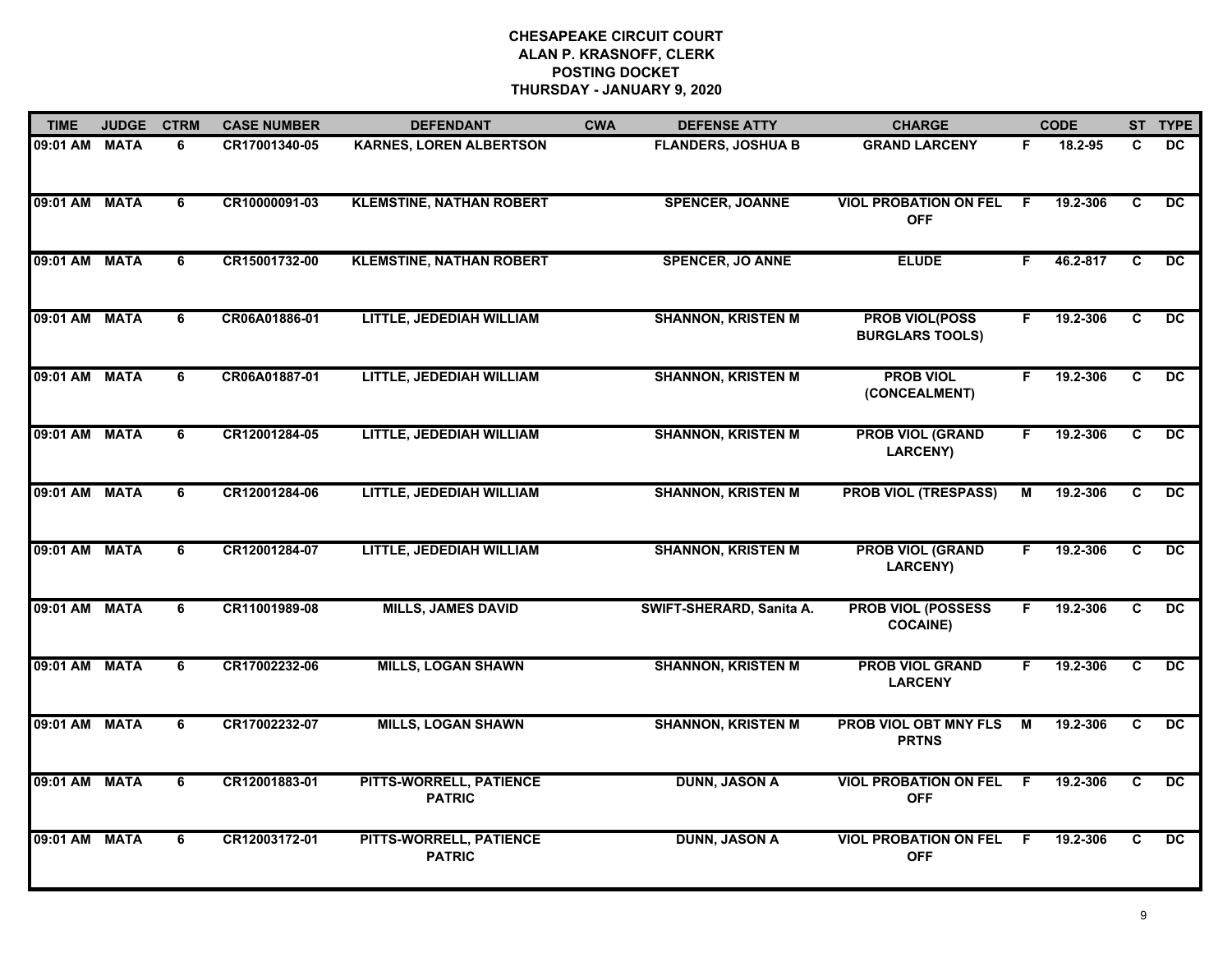| <b>TIME</b>   | <b>JUDGE</b> | <b>CTRM</b>    | <b>CASE NUMBER</b> | <b>DEFENDANT</b>                         | <b>CWA</b> | <b>DEFENSE ATTY</b>       | <b>CHARGE</b>                                   |     | <b>CODE</b> |                | ST TYPE         |
|---------------|--------------|----------------|--------------------|------------------------------------------|------------|---------------------------|-------------------------------------------------|-----|-------------|----------------|-----------------|
| 09:01 AM      | <b>MATA</b>  | 6              | CR17001340-05      | KARNES, LOREN ALBERTSON                  |            | <b>FLANDERS, JOSHUA B</b> | <b>GRAND LARCENY</b>                            | F.  | 18.2-95     | C              | DC              |
| 09:01 AM MATA |              | 6              | CR10000091-03      | <b>KLEMSTINE, NATHAN ROBERT</b>          |            | <b>SPENCER, JOANNE</b>    | <b>VIOL PROBATION ON FEL</b><br><b>OFF</b>      | - F | 19.2-306    | C              | DC.             |
| 09:01 AM      | <b>MATA</b>  | 6              | CR15001732-00      | <b>KLEMSTINE, NATHAN ROBERT</b>          |            | <b>SPENCER, JO ANNE</b>   | <b>ELUDE</b>                                    | F   | 46.2-817    | $\overline{c}$ | $\overline{DC}$ |
| 09:01 AM      | <b>MATA</b>  | 6              | CR06A01886-01      | LITTLE, JEDEDIAH WILLIAM                 |            | <b>SHANNON, KRISTEN M</b> | <b>PROB VIOL(POSS</b><br><b>BURGLARS TOOLS)</b> | F.  | 19.2-306    | C              | <b>DC</b>       |
| 09:01 AM MATA |              | 6              | CR06A01887-01      | LITTLE, JEDEDIAH WILLIAM                 |            | <b>SHANNON, KRISTEN M</b> | <b>PROB VIOL</b><br>(CONCEALMENT)               | F.  | 19.2-306    | C              | DC              |
| 09:01 AM MATA |              | 6              | CR12001284-05      | LITTLE, JEDEDIAH WILLIAM                 |            | <b>SHANNON, KRISTEN M</b> | <b>PROB VIOL (GRAND</b><br><b>LARCENY)</b>      | F.  | 19.2-306    | C              | DC              |
| 09:01 AM MATA |              | $\overline{6}$ | CR12001284-06      | LITTLE, JEDEDIAH WILLIAM                 |            | <b>SHANNON, KRISTEN M</b> | <b>PROB VIOL (TRESPASS)</b>                     | М   | 19.2-306    | C              | DC              |
| 09:01 AM      | <b>MATA</b>  | 6              | CR12001284-07      | LITTLE, JEDEDIAH WILLIAM                 |            | <b>SHANNON, KRISTEN M</b> | <b>PROB VIOL (GRAND</b><br><b>LARCENY)</b>      | F.  | 19.2-306    | C              | $\overline{DC}$ |
| 09:01 AM      | <b>MATA</b>  | 6              | CR11001989-08      | <b>MILLS, JAMES DAVID</b>                |            | SWIFT-SHERARD, Sanita A.  | <b>PROB VIOL (POSSESS</b><br><b>COCAINE)</b>    | F.  | 19.2-306    | C              | <b>DC</b>       |
| 09:01 AM      | <b>MATA</b>  | 6              | CR17002232-06      | <b>MILLS, LOGAN SHAWN</b>                |            | <b>SHANNON, KRISTEN M</b> | <b>PROB VIOL GRAND</b><br><b>LARCENY</b>        | F.  | 19.2-306    | C              | <b>DC</b>       |
| 09:01 AM MATA |              | 6              | CR17002232-07      | <b>MILLS, LOGAN SHAWN</b>                |            | <b>SHANNON, KRISTEN M</b> | PROB VIOL OBT MNY FLS<br><b>PRTNS</b>           | M   | 19.2-306    | C              | $\overline{DC}$ |
| 09:01 AM      | <b>MATA</b>  | 6              | CR12001883-01      | PITTS-WORRELL, PATIENCE<br><b>PATRIC</b> |            | <b>DUNN, JASON A</b>      | <b>VIOL PROBATION ON FEL</b><br><b>OFF</b>      | F.  | 19.2-306    | C              | $\overline{DC}$ |
| 09:01 AM      | <b>MATA</b>  | 6              | CR12003172-01      | PITTS-WORRELL, PATIENCE<br><b>PATRIC</b> |            | <b>DUNN, JASON A</b>      | <b>VIOL PROBATION ON FEL</b><br><b>OFF</b>      | F.  | 19.2-306    | C              | DC              |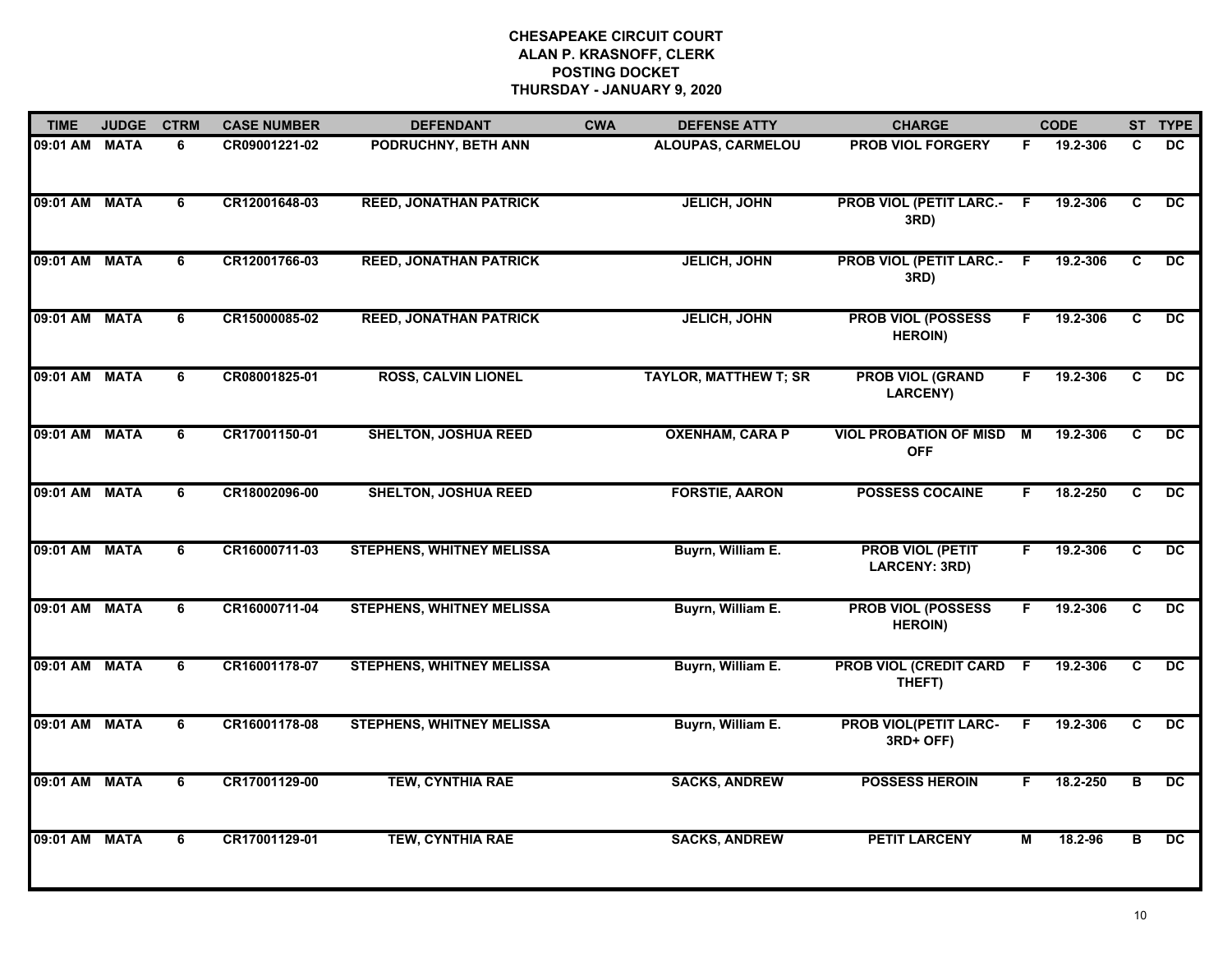| <b>TIME</b>   | <b>JUDGE</b> | <b>CTRM</b>    | <b>CASE NUMBER</b> | <b>DEFENDANT</b>                 | <b>CWA</b> | <b>DEFENSE ATTY</b>          | <b>CHARGE</b>                               |     | <b>CODE</b> |                         | ST TYPE         |
|---------------|--------------|----------------|--------------------|----------------------------------|------------|------------------------------|---------------------------------------------|-----|-------------|-------------------------|-----------------|
| 09:01 AM MATA |              | 6              | CR09001221-02      | PODRUCHNY, BETH ANN              |            | ALOUPAS, CARMELOU            | <b>PROB VIOL FORGERY</b>                    | F   | 19.2-306    | C                       | $\overline{DC}$ |
| 09:01 AM MATA |              | 6              | CR12001648-03      | <b>REED, JONATHAN PATRICK</b>    |            | <b>JELICH, JOHN</b>          | <b>PROB VIOL (PETIT LARC.- F</b><br>3RD)    |     | 19.2-306    | $\overline{\mathbf{c}}$ | $\overline{DC}$ |
| 09:01 AM MATA |              | 6              | CR12001766-03      | <b>REED, JONATHAN PATRICK</b>    |            | <b>JELICH, JOHN</b>          | <b>PROB VIOL (PETIT LARC.-</b><br>3RD)      | - F | 19.2-306    | $\overline{c}$          | $\overline{DC}$ |
| 09:01 AM MATA |              | 6              | CR15000085-02      | <b>REED, JONATHAN PATRICK</b>    |            | <b>JELICH, JOHN</b>          | <b>PROB VIOL (POSSESS</b><br><b>HEROIN)</b> | F   | 19.2-306    | C                       | <b>DC</b>       |
| 09:01 AM MATA |              | 6              | CR08001825-01      | <b>ROSS, CALVIN LIONEL</b>       |            | <b>TAYLOR, MATTHEW T; SR</b> | <b>PROB VIOL (GRAND</b><br>LARCENY)         | F.  | 19.2-306    | C                       | DC.             |
| 09:01 AM MATA |              | 6              | CR17001150-01      | <b>SHELTON, JOSHUA REED</b>      |            | <b>OXENHAM, CARA P</b>       | <b>VIOL PROBATION OF MISD</b><br><b>OFF</b> | м   | 19.2-306    | C                       | $\overline{DC}$ |
| 09:01 AM MATA |              | 6              | CR18002096-00      | <b>SHELTON, JOSHUA REED</b>      |            | <b>FORSTIE, AARON</b>        | <b>POSSESS COCAINE</b>                      | F   | 18.2-250    | C                       | $\overline{DC}$ |
| 09:01 AM MATA |              | $\overline{6}$ | CR16000711-03      | <b>STEPHENS, WHITNEY MELISSA</b> |            | Buyrn, William E.            | <b>PROB VIOL (PETIT</b><br>LARCENY: 3RD)    | F.  | 19.2-306    | $\overline{c}$          | $\overline{DC}$ |
| 09:01 AM MATA |              | 6              | CR16000711-04      | <b>STEPHENS, WHITNEY MELISSA</b> |            | Buyrn, William E.            | <b>PROB VIOL (POSSESS</b><br><b>HEROIN)</b> | F.  | 19.2-306    | C                       | <b>DC</b>       |
| 09:01 AM MATA |              | 6              | CR16001178-07      | <b>STEPHENS, WHITNEY MELISSA</b> |            | Buyrn, William E.            | PROB VIOL (CREDIT CARD F<br>THEFT)          |     | 19.2-306    | C                       | <b>DC</b>       |
| 09:01 AM MATA |              | 6              | CR16001178-08      | <b>STEPHENS, WHITNEY MELISSA</b> |            | Buyrn, William E.            | <b>PROB VIOL(PETIT LARC-</b><br>3RD+ OFF)   | F   | 19.2-306    | C                       | $\overline{DC}$ |
| 09:01 AM MATA |              | 6              | CR17001129-00      | <b>TEW, CYNTHIA RAE</b>          |            | <b>SACKS, ANDREW</b>         | <b>POSSESS HEROIN</b>                       | F   | 18.2-250    | в                       | $\overline{DC}$ |
| 09:01 AM MATA |              | 6              | CR17001129-01      | TEW, CYNTHIA RAE                 |            | <b>SACKS, ANDREW</b>         | <b>PETIT LARCENY</b>                        | М   | 18.2-96     | в                       | $\overline{DC}$ |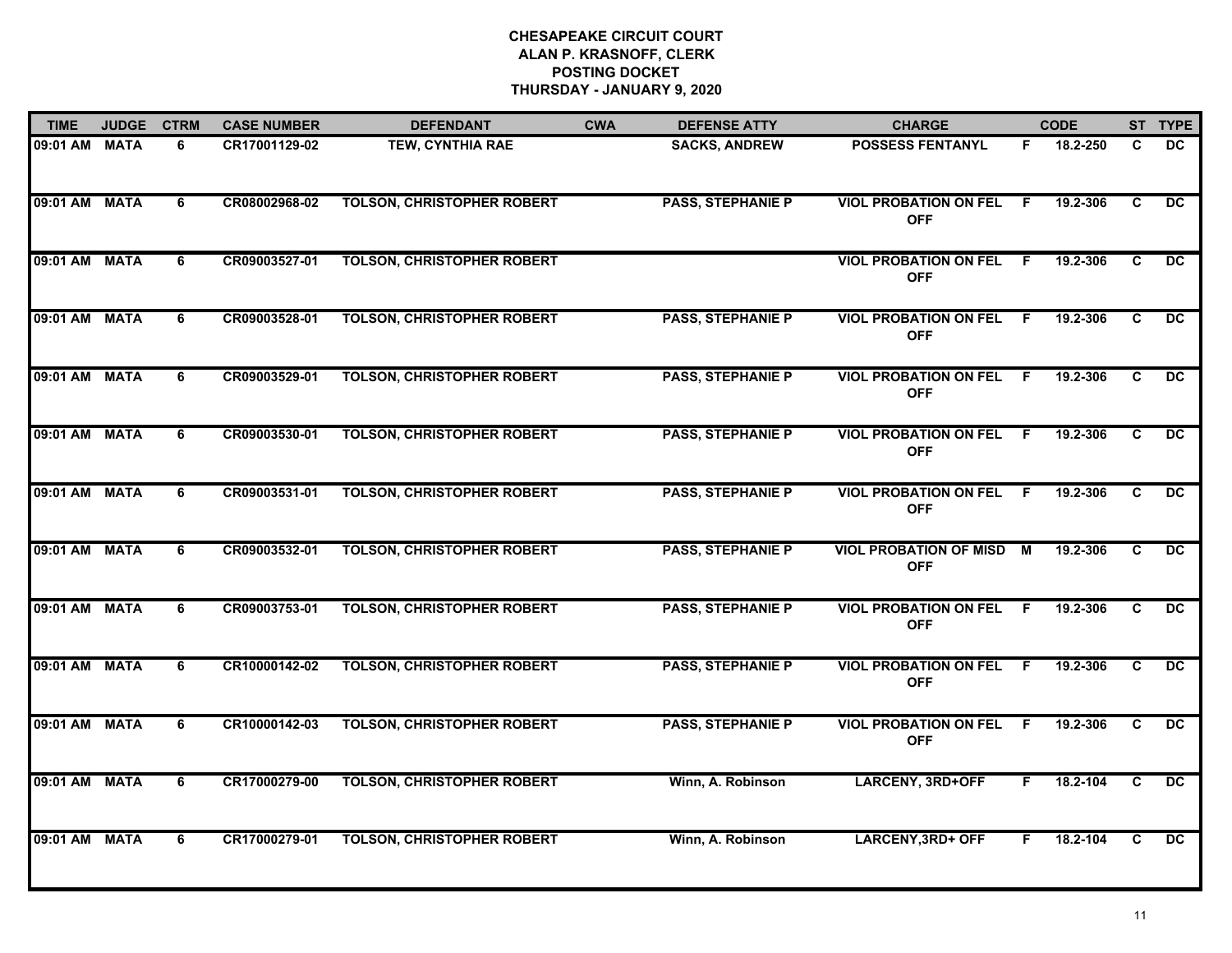| <b>TIME</b>   | <b>JUDGE</b> | <b>CTRM</b>    | <b>CASE NUMBER</b> | <b>DEFENDANT</b>                  | <b>CWA</b> | <b>DEFENSE ATTY</b>      | <b>CHARGE</b>                                 |     | <b>CODE</b> |                | ST TYPE         |
|---------------|--------------|----------------|--------------------|-----------------------------------|------------|--------------------------|-----------------------------------------------|-----|-------------|----------------|-----------------|
| 09:01 AM      | <b>MATA</b>  | 6              | CR17001129-02      | <b>TEW, CYNTHIA RAE</b>           |            | <b>SACKS, ANDREW</b>     | <b>POSSESS FENTANYL</b>                       | F.  | 18.2-250    | C.             | DC.             |
| 09:01 AM MATA |              | 6              | CR08002968-02      | <b>TOLSON, CHRISTOPHER ROBERT</b> |            | <b>PASS, STEPHANIE P</b> | <b>VIOL PROBATION ON FEL F</b><br><b>OFF</b>  |     | 19.2-306    | C              | $\overline{DC}$ |
| 09:01 AM      | <b>MATA</b>  | $\overline{6}$ | CR09003527-01      | <b>TOLSON, CHRISTOPHER ROBERT</b> |            |                          | <b>VIOL PROBATION ON FEL</b><br><b>OFF</b>    | - F | 19.2-306    | $\overline{c}$ | DC              |
| 09:01 AM MATA |              | 6              | CR09003528-01      | <b>TOLSON, CHRISTOPHER ROBERT</b> |            | <b>PASS, STEPHANIE P</b> | <b>VIOL PROBATION ON FEL</b><br><b>OFF</b>    | E   | 19.2-306    | C.             | <b>DC</b>       |
| 09:01 AM MATA |              | 6              | CR09003529-01      | <b>TOLSON, CHRISTOPHER ROBERT</b> |            | <b>PASS, STEPHANIE P</b> | <b>VIOL PROBATION ON FEL</b><br><b>OFF</b>    | - F | 19.2-306    | C.             | DC.             |
| 09:01 AM MATA |              | 6              | CR09003530-01      | <b>TOLSON, CHRISTOPHER ROBERT</b> |            | <b>PASS, STEPHANIE P</b> | <b>VIOL PROBATION ON FEL F</b><br><b>OFF</b>  |     | 19.2-306    | C.             | DC              |
| 09:01 AM MATA |              | 6              | CR09003531-01      | <b>TOLSON, CHRISTOPHER ROBERT</b> |            | <b>PASS, STEPHANIE P</b> | <b>VIOL PROBATION ON FEL F</b><br><b>OFF</b>  |     | 19.2-306    | C              | DC              |
| 09:01 AM      | <b>MATA</b>  | $\overline{6}$ | CR09003532-01      | <b>TOLSON, CHRISTOPHER ROBERT</b> |            | <b>PASS, STEPHANIE P</b> | <b>VIOL PROBATION OF MISD M</b><br><b>OFF</b> |     | 19.2-306    | $\overline{c}$ | $\overline{DC}$ |
| 09:01 AM      | <b>MATA</b>  | 6              | CR09003753-01      | <b>TOLSON, CHRISTOPHER ROBERT</b> |            | <b>PASS, STEPHANIE P</b> | <b>VIOL PROBATION ON FEL</b><br><b>OFF</b>    | E   | 19.2-306    | C              | <b>DC</b>       |
| 09:01 AM MATA |              | 6              | CR10000142-02      | <b>TOLSON, CHRISTOPHER ROBERT</b> |            | <b>PASS, STEPHANIE P</b> | <b>VIOL PROBATION ON FEL</b><br><b>OFF</b>    | F.  | 19.2-306    | C.             | DC.             |
| 09:01 AM      | <b>MATA</b>  | 6              | CR10000142-03      | <b>TOLSON, CHRISTOPHER ROBERT</b> |            | <b>PASS, STEPHANIE P</b> | <b>VIOL PROBATION ON FEL</b><br><b>OFF</b>    | F   | 19.2-306    | C              | DC              |
| 09:01 AM      | <b>MATA</b>  | 6              | CR17000279-00      | <b>TOLSON, CHRISTOPHER ROBERT</b> |            | Winn, A. Robinson        | <b>LARCENY, 3RD+OFF</b>                       | F.  | 18.2-104    | C              | DC              |
| 09:01 AM      | <b>MATA</b>  | 6              | CR17000279-01      | <b>TOLSON, CHRISTOPHER ROBERT</b> |            | Winn, A. Robinson        | <b>LARCENY, 3RD+ OFF</b>                      | F   | 18.2-104    | C.             | $\overline{DC}$ |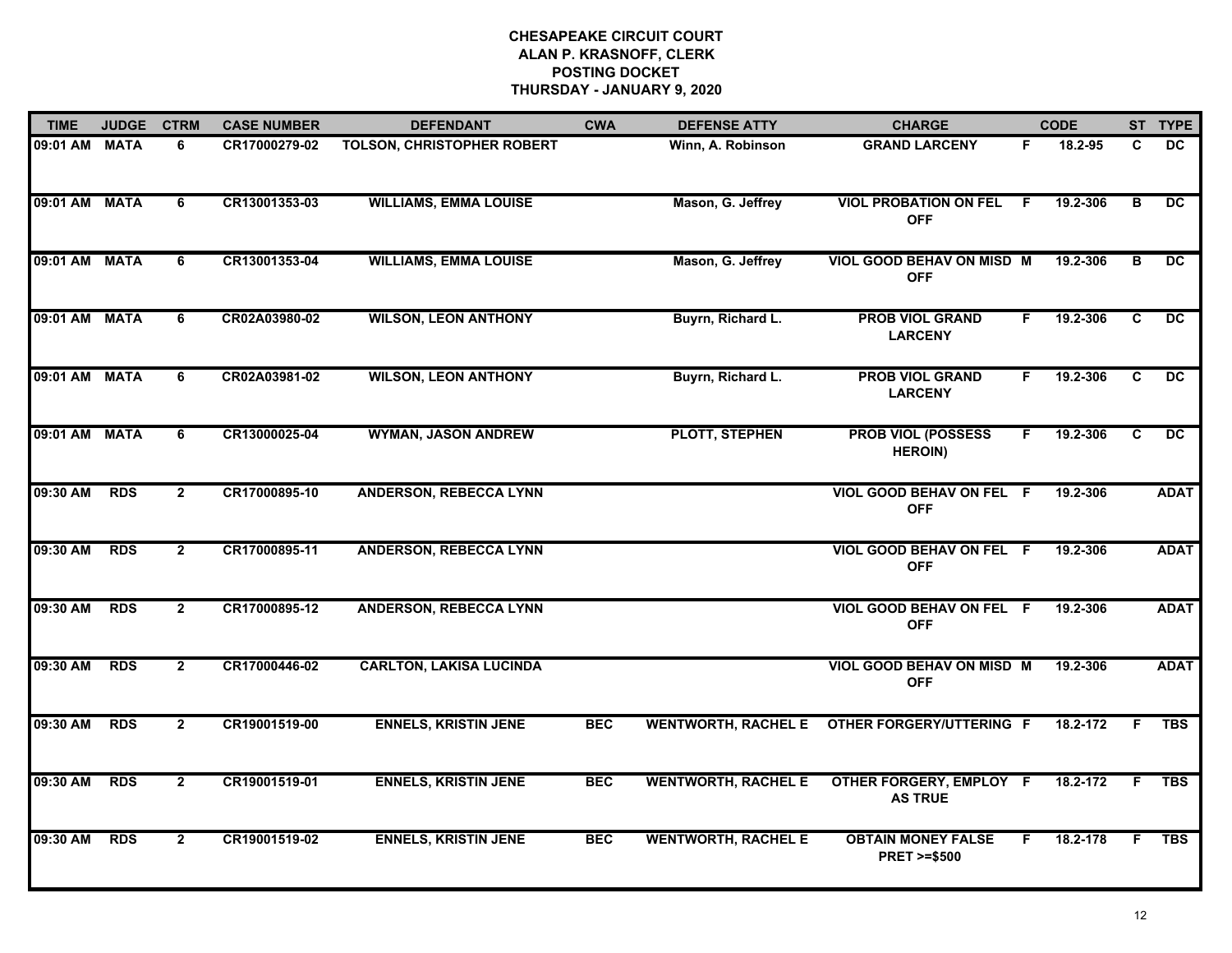| <b>TIME</b>   | <b>JUDGE</b> | <b>CTRM</b>    | <b>CASE NUMBER</b> | <b>DEFENDANT</b>                  | <b>CWA</b> | <b>DEFENSE ATTY</b>        | <b>CHARGE</b>                                       |    | <b>CODE</b> |                         | ST TYPE         |
|---------------|--------------|----------------|--------------------|-----------------------------------|------------|----------------------------|-----------------------------------------------------|----|-------------|-------------------------|-----------------|
| 09:01 AM      | <b>MATA</b>  | 6              | CR17000279-02      | <b>TOLSON, CHRISTOPHER ROBERT</b> |            | Winn, A. Robinson          | <b>GRAND LARCENY</b>                                | F. | 18.2-95     | C                       | DC.             |
| 09:01 AM      | <b>MATA</b>  | $\overline{6}$ | CR13001353-03      | <b>WILLIAMS, EMMA LOUISE</b>      |            | Mason, G. Jeffrey          | <b>VIOL PROBATION ON FEL</b><br><b>OFF</b>          | -F | 19.2-306    | $\overline{\mathsf{B}}$ | $\overline{DC}$ |
| 09:01 AM      | <b>MATA</b>  | 6              | CR13001353-04      | <b>WILLIAMS, EMMA LOUISE</b>      |            | Mason, G. Jeffrey          | <b>VIOL GOOD BEHAV ON MISD M</b><br><b>OFF</b>      |    | 19.2-306    | $\overline{\mathsf{B}}$ | $\overline{DC}$ |
| 09:01 AM      | <b>MATA</b>  | 6              | CR02A03980-02      | <b>WILSON, LEON ANTHONY</b>       |            | Buyrn, Richard L.          | <b>PROB VIOL GRAND</b><br><b>LARCENY</b>            | F. | 19.2-306    | C                       | DC.             |
| 09:01 AM      | <b>MATA</b>  | 6              | CR02A03981-02      | <b>WILSON, LEON ANTHONY</b>       |            | Buyrn, Richard L.          | <b>PROB VIOL GRAND</b><br><b>LARCENY</b>            | F. | 19.2-306    | C                       | <b>DC</b>       |
| 09:01 AM MATA |              | 6              | CR13000025-04      | <b>WYMAN, JASON ANDREW</b>        |            | <b>PLOTT, STEPHEN</b>      | <b>PROB VIOL (POSSESS</b><br><b>HEROIN)</b>         | F. | 19.2-306    | C                       | DC              |
| 09:30 AM      | <b>RDS</b>   | $\overline{2}$ | CR17000895-10      | <b>ANDERSON, REBECCA LYNN</b>     |            |                            | VIOL GOOD BEHAV ON FEL F<br><b>OFF</b>              |    | 19.2-306    |                         | <b>ADAT</b>     |
| 09:30 AM      | <b>RDS</b>   | $\overline{2}$ | CR17000895-11      | <b>ANDERSON, REBECCA LYNN</b>     |            |                            | VIOL GOOD BEHAV ON FEL F<br><b>OFF</b>              |    | 19.2-306    |                         | <b>ADAT</b>     |
| 09:30 AM      | <b>RDS</b>   | $\overline{2}$ | CR17000895-12      | <b>ANDERSON, REBECCA LYNN</b>     |            |                            | VIOL GOOD BEHAV ON FEL F<br><b>OFF</b>              |    | 19.2-306    |                         | <b>ADAT</b>     |
| 09:30 AM      | <b>RDS</b>   | $\overline{2}$ | CR17000446-02      | <b>CARLTON, LAKISA LUCINDA</b>    |            |                            | <b>VIOL GOOD BEHAV ON MISD M</b><br><b>OFF</b>      |    | 19.2-306    |                         | <b>ADAT</b>     |
| 09:30 AM      | <b>RDS</b>   | $\mathbf{2}$   | CR19001519-00      | <b>ENNELS, KRISTIN JENE</b>       | <b>BEC</b> | <b>WENTWORTH, RACHEL E</b> | <b>OTHER FORGERY/UTTERING F</b>                     |    | 18.2-172    | F.                      | <b>TBS</b>      |
| 09:30 AM      | <b>RDS</b>   | $\overline{2}$ | CR19001519-01      | <b>ENNELS, KRISTIN JENE</b>       | <b>BEC</b> | <b>WENTWORTH, RACHEL E</b> | OTHER FORGERY, EMPLOY F<br><b>AS TRUE</b>           |    | 18.2-172    | F.                      | <b>TBS</b>      |
| 09:30 AM      | <b>RDS</b>   | $\overline{2}$ | CR19001519-02      | <b>ENNELS, KRISTIN JENE</b>       | <b>BEC</b> | <b>WENTWORTH, RACHEL E</b> | <b>OBTAIN MONEY FALSE</b><br><b>PRET &gt;=\$500</b> | F. | 18.2-178    | F.                      | <b>TBS</b>      |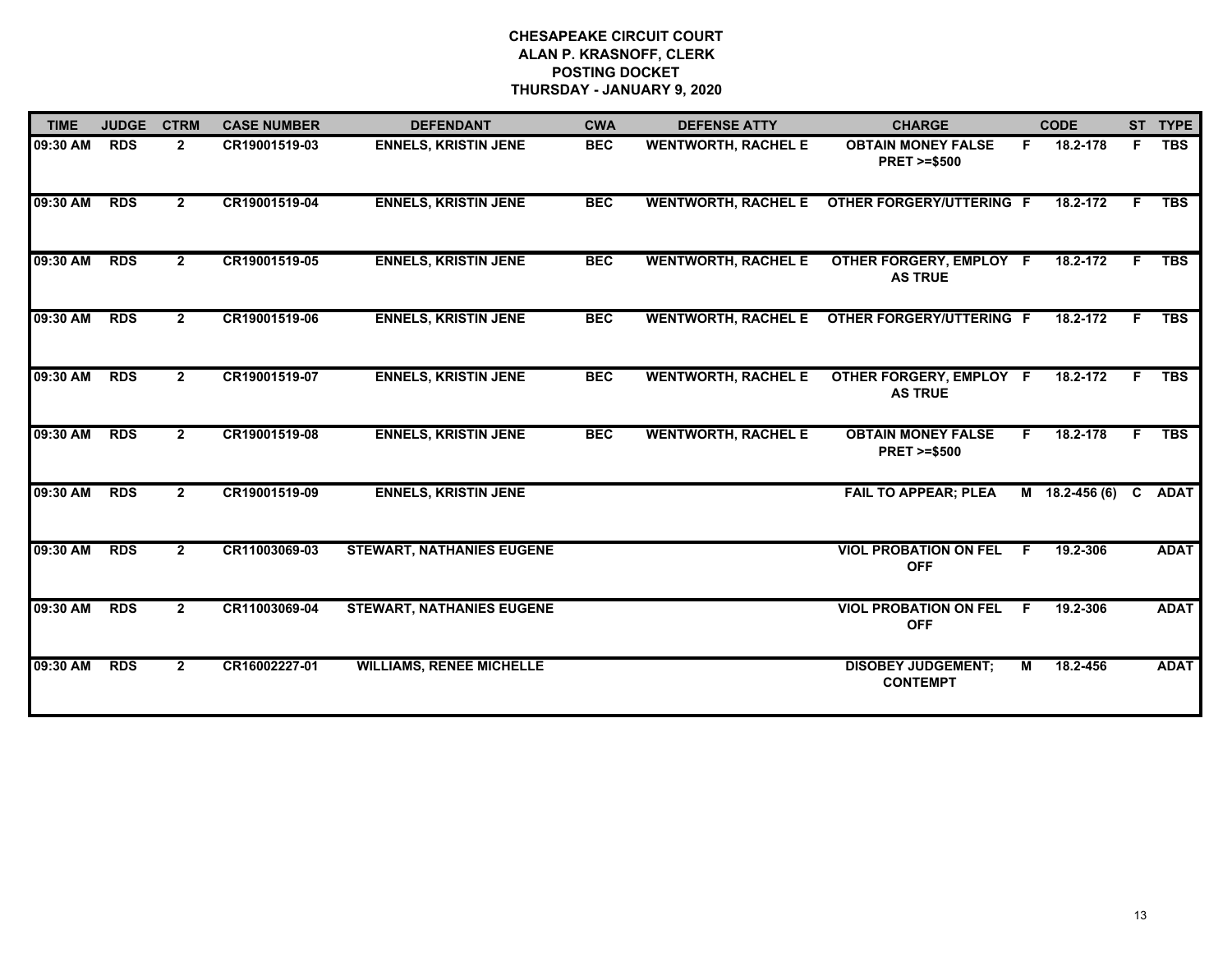| <b>TIME</b> | <b>JUDGE</b> | <b>CTRM</b>    | <b>CASE NUMBER</b> | <b>DEFENDANT</b>                 | <b>CWA</b> | <b>DEFENSE ATTY</b>        | <b>CHARGE</b>                                       |    | <b>CODE</b>      |              | ST TYPE     |
|-------------|--------------|----------------|--------------------|----------------------------------|------------|----------------------------|-----------------------------------------------------|----|------------------|--------------|-------------|
| 09:30 AM    | <b>RDS</b>   | $\mathbf{2}$   | CR19001519-03      | <b>ENNELS, KRISTIN JENE</b>      | <b>BEC</b> | <b>WENTWORTH, RACHEL E</b> | <b>OBTAIN MONEY FALSE</b><br><b>PRET &gt;=\$500</b> | F. | 18.2-178         | F.           | <b>TBS</b>  |
| 09:30 AM    | <b>RDS</b>   | $\mathbf{2}$   | CR19001519-04      | <b>ENNELS, KRISTIN JENE</b>      | <b>BEC</b> | <b>WENTWORTH, RACHEL E</b> | <b>OTHER FORGERY/UTTERING F</b>                     |    | 18.2-172         | F.           | <b>TBS</b>  |
| 09:30 AM    | <b>RDS</b>   | $\mathbf{2}$   | CR19001519-05      | <b>ENNELS, KRISTIN JENE</b>      | <b>BEC</b> | <b>WENTWORTH, RACHEL E</b> | OTHER FORGERY, EMPLOY F<br><b>AS TRUE</b>           |    | 18.2-172         | F.           | <b>TBS</b>  |
| 09:30 AM    | <b>RDS</b>   | $\mathbf{2}$   | CR19001519-06      | <b>ENNELS, KRISTIN JENE</b>      | <b>BEC</b> |                            | WENTWORTH, RACHEL E OTHER FORGERY/UTTERING F        |    | $18.2 - 172$     | F.           | <b>TBS</b>  |
| 09:30 AM    | <b>RDS</b>   | $\mathbf{2}$   | CR19001519-07      | <b>ENNELS, KRISTIN JENE</b>      | <b>BEC</b> | <b>WENTWORTH, RACHEL E</b> | OTHER FORGERY, EMPLOY F<br><b>AS TRUE</b>           |    | 18.2-172         | F.           | <b>TBS</b>  |
| 09:30 AM    | <b>RDS</b>   | $\mathbf{2}$   | CR19001519-08      | <b>ENNELS, KRISTIN JENE</b>      | <b>BEC</b> | <b>WENTWORTH, RACHEL E</b> | <b>OBTAIN MONEY FALSE</b><br><b>PRET &gt;=\$500</b> | F. | 18.2-178         | F.           | <b>TBS</b>  |
| 09:30 AM    | <b>RDS</b>   | $\mathbf{2}$   | CR19001519-09      | <b>ENNELS, KRISTIN JENE</b>      |            |                            | <b>FAIL TO APPEAR; PLEA</b>                         |    | $M$ 18.2-456 (6) | $\mathbf{C}$ | <b>ADAT</b> |
| 09:30 AM    | <b>RDS</b>   | $\mathbf{2}$   | CR11003069-03      | <b>STEWART, NATHANIES EUGENE</b> |            |                            | <b>VIOL PROBATION ON FEL</b><br><b>OFF</b>          | F. | 19.2-306         |              | <b>ADAT</b> |
| 09:30 AM    | <b>RDS</b>   | $\overline{2}$ | CR11003069-04      | <b>STEWART, NATHANIES EUGENE</b> |            |                            | <b>VIOL PROBATION ON FEL</b><br><b>OFF</b>          | F  | 19.2-306         |              | <b>ADAT</b> |
| 09:30 AM    | <b>RDS</b>   | $\mathbf{2}$   | CR16002227-01      | <b>WILLIAMS, RENEE MICHELLE</b>  |            |                            | <b>DISOBEY JUDGEMENT;</b><br><b>CONTEMPT</b>        | М  | 18.2-456         |              | <b>ADAT</b> |